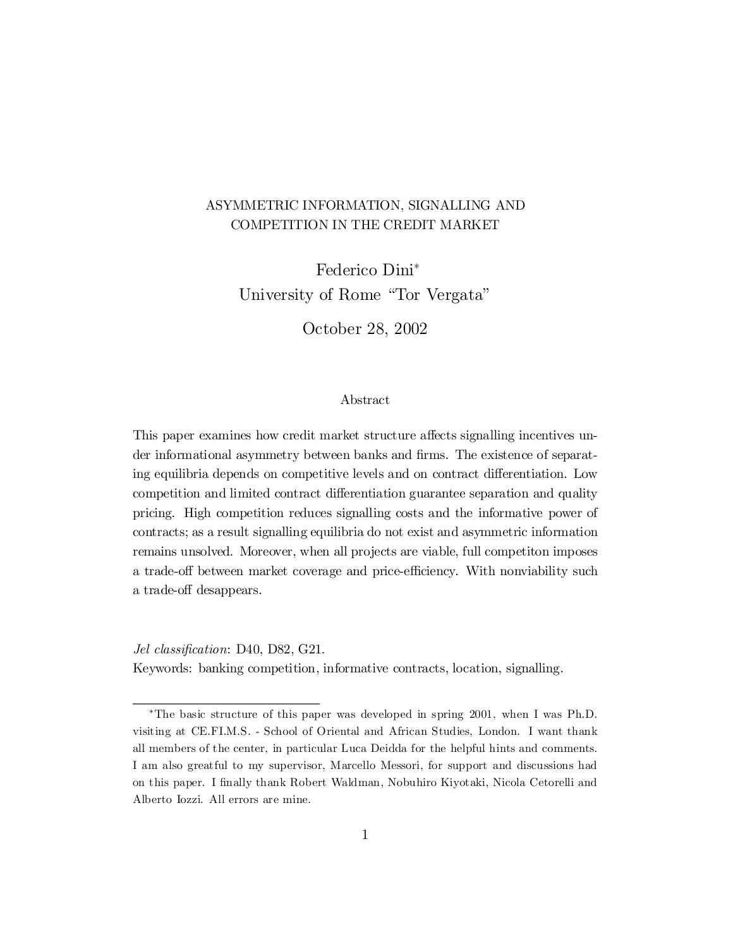# ASYMMETRIC INFORMATION, SIGNALLING AND COMPETITION IN THE CREDIT MARKET

Federico Dini ¤ University of Rome "Tor Vergata"

October 28, 2002

## Abstract

This paper examines how credit market structure affects signalling incentives under informational asymmetry between banks and firms. The existence of separating equilibria depends on competitive levels and on contract differentiation. Low competition and limited contract differentiation guarantee separation and quality pricing. High competition reduces signalling costs and the informative power of contracts; as a result signalling equilibria do not exist and asymmetric information remains unsolved. Moreover, when all projects are viable, full competiton imposes a trade-off between market coverage and price-efficiency. With nonviability such a trade-off desappears.

Jel classification: D40, D82, G21. Keywords: banking competition, informative contracts, location, signalling.

<sup>¤</sup>The basic structure of this paper was developed in spring 2001, when I was Ph.D. visiting at CE.FI.M.S. - School of Oriental and African Studies, London. I want thank all members of the center, in particular Luca Deidda for the helpful hints and comments. I am also greatful to my supervisor, Marcello Messori, for support and discussions had on this paper. I finally thank Robert Waldman, Nobuhiro Kiyotaki, Nicola Cetorelli and Alberto Iozzi. All errors are mine.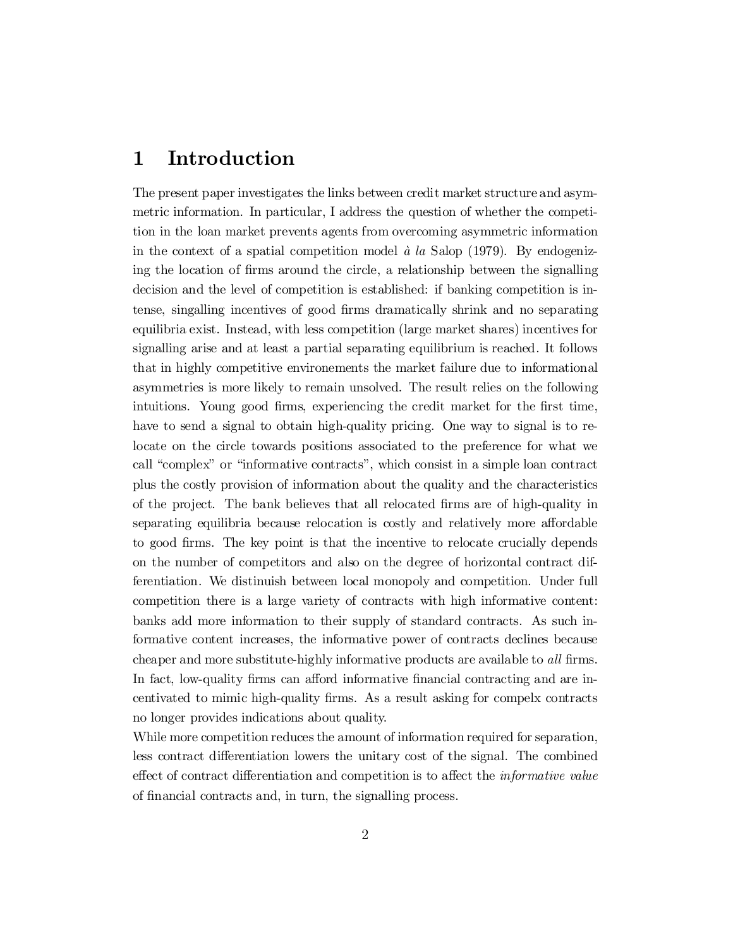# 1 Introduction

The present paper investigates the links between credit market structure and asymmetric information. In particular, I address the question of whether the competition in the loan market prevents agents from overcoming asymmetric information in the context of a spatial competition model  $\dot{a}$  la Salop (1979). By endogenizing the location of firms around the circle, a relationship between the signalling decision and the level of competition is established: if banking competition is intense, singalling incentives of good firms dramatically shrink and no separating equilibria exist. Instead, with less competition (large market shares) incentives for signalling arise and at least a partial separating equilibrium is reached. It follows that in highly competitive environements the market failure due to informational asymmetries is more likely to remain unsolved. The result relies on the following intuitions. Young good firms, experiencing the credit market for the first time, have to send a signal to obtain high-quality pricing. One way to signal is to relocate on the circle towards positions associated to the preference for what we call "complex" or "informative contracts", which consist in a simple loan contract plus the costly provision of information about the quality and the characteristics of the project. The bank believes that all relocated firms are of high-quality in separating equilibria because relocation is costly and relatively more affordable to good firms. The key point is that the incentive to relocate crucially depends on the number of competitors and also on the degree of horizontal contract differentiation. We distinuish between local monopoly and competition. Under full competition there is a large variety of contracts with high informative content: banks add more information to their supply of standard contracts. As such informative content increases, the informative power of contracts declines because cheaper and more substitute-highly informative products are available to *all* firms. In fact, low-quality firms can afford informative financial contracting and are incentivated to mimic high-quality firms. As a result asking for compelx contracts no longer provides indications about quality.

While more competition reduces the amount of information required for separation, less contract differentiation lowers the unitary cost of the signal. The combined effect of contract differentiation and competition is to affect the *informative value* of financial contracts and, in turn, the signalling process.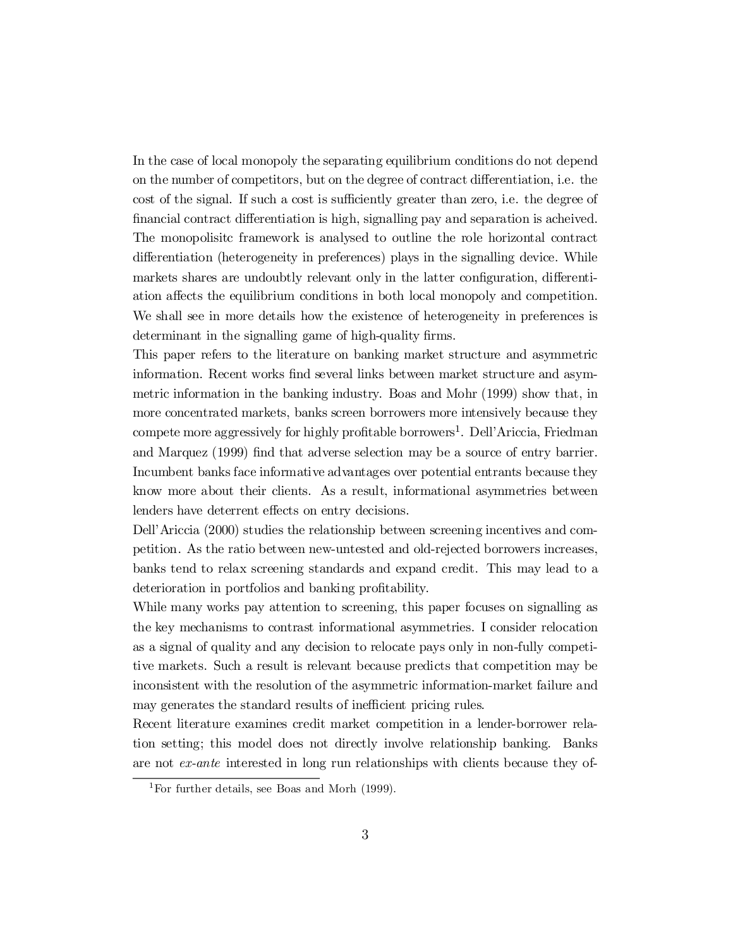In the case of local monopoly the separating equilibrium conditions do not depend on the number of competitors, but on the degree of contract differentiation, i.e. the cost of the signal. If such a cost is sufficiently greater than zero, i.e. the degree of financial contract differentiation is high, signalling pay and separation is acheived. The monopolisitc framework is analysed to outline the role horizontal contract differentiation (heterogeneity in preferences) plays in the signalling device. While markets shares are undoubtly relevant only in the latter configuration, differentiation affects the equilibrium conditions in both local monopoly and competition. We shall see in more details how the existence of heterogeneity in preferences is determinant in the signalling game of high-quality firms.

This paper refers to the literature on banking market structure and asymmetric information. Recent works find several links between market structure and asymmetric information in the banking industry. Boas and Mohr (1999) show that, in more concentrated markets, banks screen borrowers more intensively because they compete more aggressively for highly profitable borrowers<sup>1</sup>. Dell'Ariccia, Friedman and Marquez (1999) find that adverse selection may be a source of entry barrier. Incumbent banks face informative advantages over potential entrants because they know more about their clients. As a result, informational asymmetries between lenders have deterrent effects on entry decisions.

Dell'Ariccia (2000) studies the relationship between screening incentives and competition. As the ratio between new-untested and old-rejected borrowers increases, banks tend to relax screening standards and expand credit. This may lead to a deterioration in portfolios and banking profitability.

While many works pay attention to screening, this paper focuses on signalling as the key mechanisms to contrast informational asymmetries. I consider relocation as a signal of quality and any decision to relocate pays only in non-fully competitive markets. Such a result is relevant because predicts that competition may be inconsistent with the resolution of the asymmetric information-market failure and may generates the standard results of inefficient pricing rules.

Recent literature examines credit market competition in a lender-borrower relation setting; this model does not directly involve relationship banking. Banks are not ex-ante interested in long run relationships with clients because they of-

<sup>1</sup>For further details, see Boas and Morh (1999).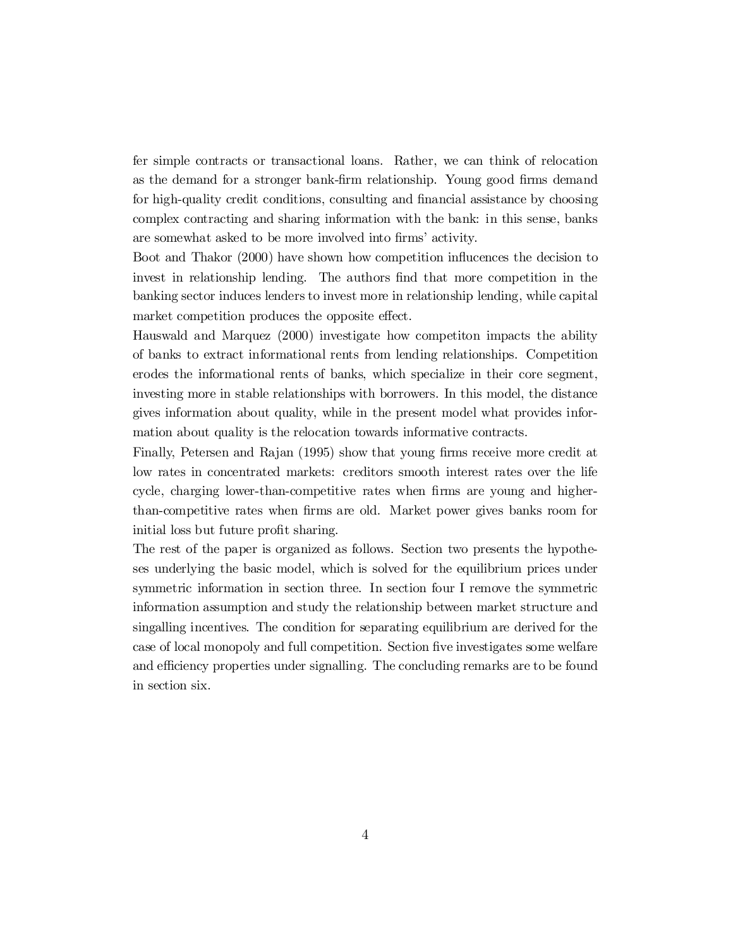fer simple contracts or transactional loans. Rather, we can think of relocation as the demand for a stronger bank-firm relationship. Young good firms demand for high-quality credit conditions, consulting and financial assistance by choosing complex contracting and sharing information with the bank: in this sense, banks are somewhat asked to be more involved into firms' activity.

Boot and Thakor (2000) have shown how competition influences the decision to invest in relationship lending. The authors find that more competition in the banking sector induces lenders to invest more in relationship lending, while capital market competition produces the opposite effect.

Hauswald and Marquez (2000) investigate how competiton impacts the ability of banks to extract informational rents from lending relationships. Competition erodes the informational rents of banks, which specialize in their core segment, investing more in stable relationships with borrowers. In this model, the distance gives information about quality, while in the present model what provides information about quality is the relocation towards informative contracts.

Finally, Petersen and Rajan (1995) show that young firms receive more credit at low rates in concentrated markets: creditors smooth interest rates over the life cycle, charging lower-than-competitive rates when firms are young and higherthan-competitive rates when firms are old. Market power gives banks room for initial loss but future profit sharing.

The rest of the paper is organized as follows. Section two presents the hypotheses underlying the basic model, which is solved for the equilibrium prices under symmetric information in section three. In section four I remove the symmetric information assumption and study the relationship between market structure and singalling incentives. The condition for separating equilibrium are derived for the case of local monopoly and full competition. Section five investigates some welfare and efficiency properties under signalling. The concluding remarks are to be found in section six.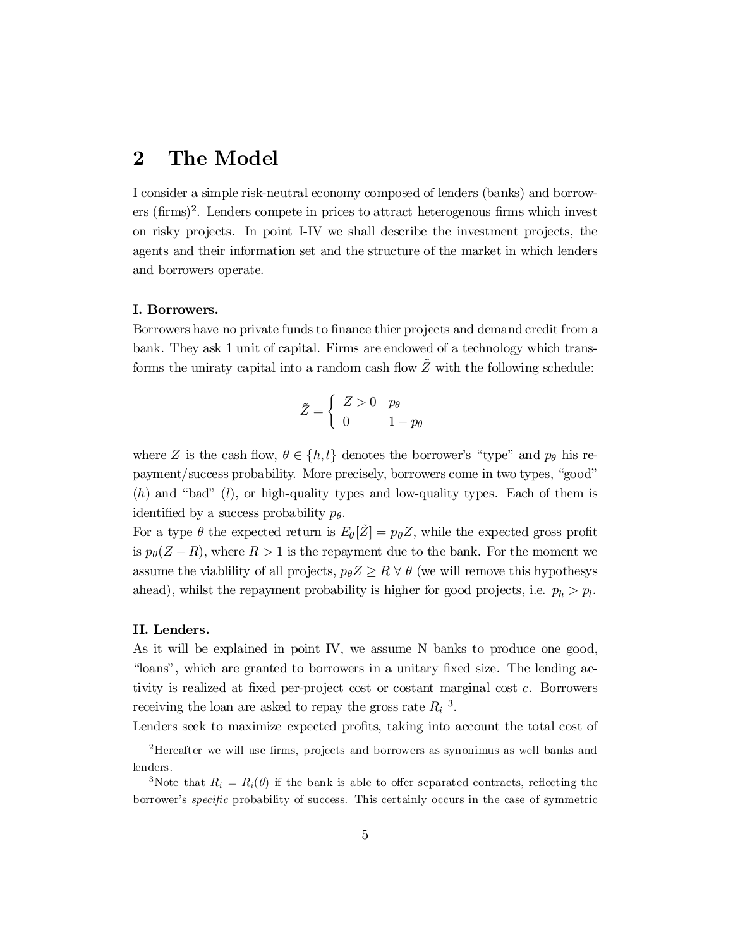# 2 The Model

I consider a simple risk-neutral economy composed of lenders (banks) and borrowers (firms)<sup>2</sup>. Lenders compete in prices to attract heterogenous firms which invest on risky projects. In point I-IV we shall describe the investment projects, the agents and their information set and the structure of the market in which lenders and borrowers operate.

### I. Borrowers.

Borrowers have no private funds to finance thier projects and demand credit from a bank. They ask 1 unit of capital. Firms are endowed of a technology which transforms the uniraty capital into a random cash flow  $\tilde{Z}$  with the following schedule:

$$
\tilde{Z} = \begin{cases}\nZ > 0 \\
0 & 1 - p\theta\n\end{cases}
$$

where Z is the cash flow,  $\theta \in \{h, l\}$  denotes the borrower's "type" and  $p_{\theta}$  his repayment/success probability. More precisely, borrowers come in two types, "good"  $(h)$  and "bad"  $(l)$ , or high-quality types and low-quality types. Each of them is identified by a success probability  $p_{\theta}$ .

For a type  $\theta$  the expected return is  $E_{\theta}[\tilde{Z}] = p_{\theta}Z$ , while the expected gross profit is  $p_{\theta}(Z - R)$ , where  $R > 1$  is the repayment due to the bank. For the moment we assume the viablility of all projects,  $p_{\theta}Z \geq R \ \forall \ \theta$  (we will remove this hypothesys ahead), whilst the repayment probability is higher for good projects, i.e.  $p_h > p_l$ .

### II. Lenders.

As it will be explained in point IV, we assume N banks to produce one good, "loans", which are granted to borrowers in a unitary fixed size. The lending activity is realized at fixed per-project cost or costant marginal cost c. Borrowers receiving the loan are asked to repay the gross rate  $R_i$ <sup>3</sup>.

Lenders seek to maximize expected profits, taking into account the total cost of

 $2$ Hereafter we will use firms, projects and borrowers as synonimus as well banks and lenders.

<sup>&</sup>lt;sup>3</sup>Note that  $R_i = R_i(\theta)$  if the bank is able to offer separated contracts, reflecting the borrower's *specific* probability of success. This certainly occurs in the case of symmetric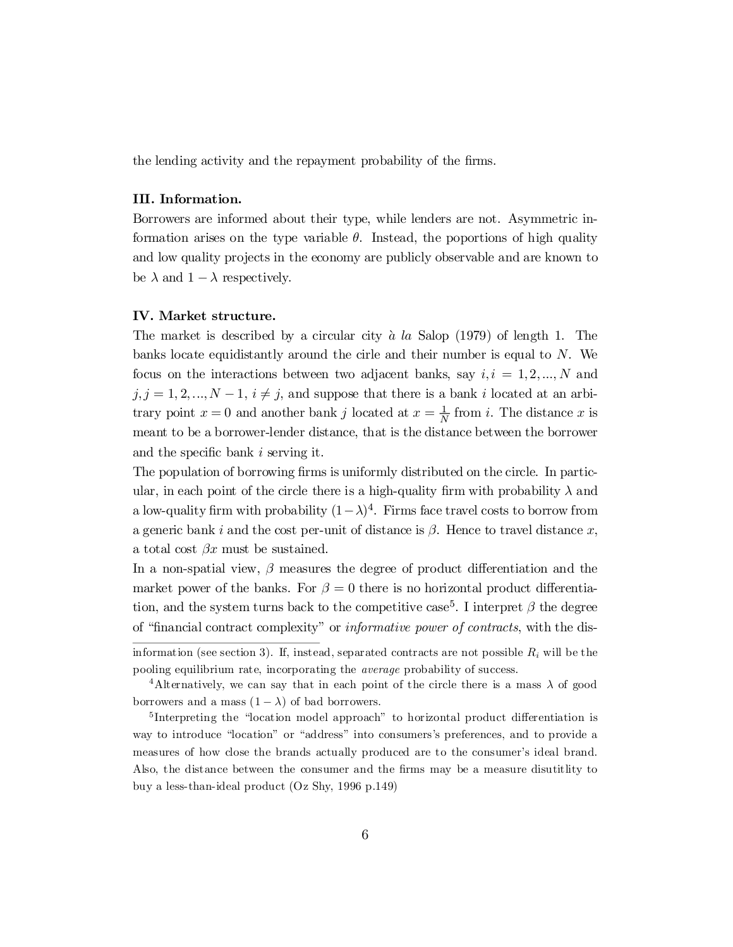the lending activity and the repayment probability of the firms.

## III. Information.

Borrowers are informed about their type, while lenders are not. Asymmetric information arises on the type variable  $\theta$ . Instead, the poportions of high quality and low quality projects in the economy are publicly observable and are known to be  $\lambda$  and  $1 - \lambda$  respectively.

## IV. Market structure.

The market is described by a circular city  $\dot{a}$  la Salop (1979) of length 1. The banks locate equidistantly around the cirle and their number is equal to N. We focus on the interactions between two adjacent banks, say  $i, i = 1, 2, ..., N$  and  $j, j = 1, 2, ..., N-1, i \neq j$ , and suppose that there is a bank i located at an arbitrary point  $x = 0$  and another bank j located at  $x = \frac{1}{N}$  from i. The distance x is meant to be a borrower-lender distance, that is the distance between the borrower and the specific bank  $i$  serving it.

The population of borrowing firms is uniformly distributed on the circle. In particular, in each point of the circle there is a high-quality firm with probability  $\lambda$  and a low-quality firm with probability  $(1 - \lambda)^4$ . Firms face travel costs to borrow from a generic bank i and the cost per-unit of distance is  $\beta$ . Hence to travel distance x, a total cost  $\beta x$  must be sustained.

In a non-spatial view,  $\beta$  measures the degree of product differentiation and the market power of the banks. For  $\beta = 0$  there is no horizontal product differentiation, and the system turns back to the competitive case<sup>5</sup>. I interpret  $\beta$  the degree of "financial contract complexity" or *informative power of contracts*, with the dis-

information (see section 3). If, instead, separated contracts are not possible  $R_i$  will be the pooling equilibrium rate, incorporating the average probability of success.

<sup>&</sup>lt;sup>4</sup>Alternatively, we can say that in each point of the circle there is a mass  $\lambda$  of good borrowers and a mass  $(1 - \lambda)$  of bad borrowers.

<sup>&</sup>lt;sup>5</sup>Interpreting the "location model approach" to horizontal product differentiation is way to introduce "location" or "address" into consumers's preferences, and to provide a measures of how close the brands actually produced are to the consumer's ideal brand. Also, the distance between the consumer and the firms may be a measure disutitlity to buy a less-than-ideal product (Oz Shy, 1996 p.149)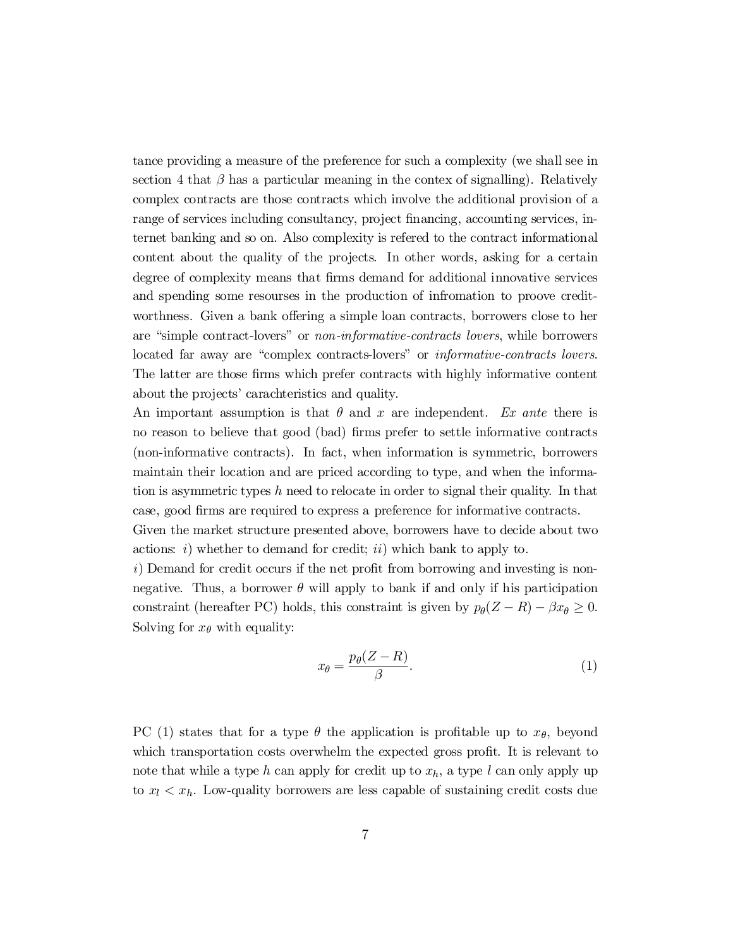tance providing a measure of the preference for such a complexity (we shall see in section 4 that  $\beta$  has a particular meaning in the contex of signalling). Relatively complex contracts are those contracts which involve the additional provision of a range of services including consultancy, project financing, accounting services, internet banking and so on. Also complexity is refered to the contract informational content about the quality of the projects. In other words, asking for a certain degree of complexity means that firms demand for additional innovative services and spending some resourses in the production of infromation to proove creditworthness. Given a bank offering a simple loan contracts, borrowers close to her are "simple contract-lovers" or non-informative-contracts lovers, while borrowers located far away are "complex contracts-lovers" or informative-contracts lovers. The latter are those firms which prefer contracts with highly informative content about the projects' carachteristics and quality.

An important assumption is that  $\theta$  and x are independent. Ex ante there is no reason to believe that good (bad) firms prefer to settle informative contracts (non-informative contracts). In fact, when information is symmetric, borrowers maintain their location and are priced according to type, and when the information is asymmetric types h need to relocate in order to signal their quality. In that case, good firms are required to express a preference for informative contracts.

Given the market structure presented above, borrowers have to decide about two actions: i) whether to demand for credit; ii) which bank to apply to.

 $i)$  Demand for credit occurs if the net profit from borrowing and investing is nonnegative. Thus, a borrower  $\theta$  will apply to bank if and only if his participation constraint (hereafter PC) holds, this constraint is given by  $p_{\theta}(Z - R) - \beta x_{\theta} \ge 0$ . Solving for  $x_{\theta}$  with equality:

$$
x_{\theta} = \frac{p_{\theta}(Z - R)}{\beta}.
$$
 (1)

PC (1) states that for a type  $\theta$  the application is profitable up to  $x_{\theta}$ , beyond which transportation costs overwhelm the expected gross profit. It is relevant to note that while a type h can apply for credit up to  $x_h$ , a type l can only apply up to  $x_l < x_h$ . Low-quality borrowers are less capable of sustaining credit costs due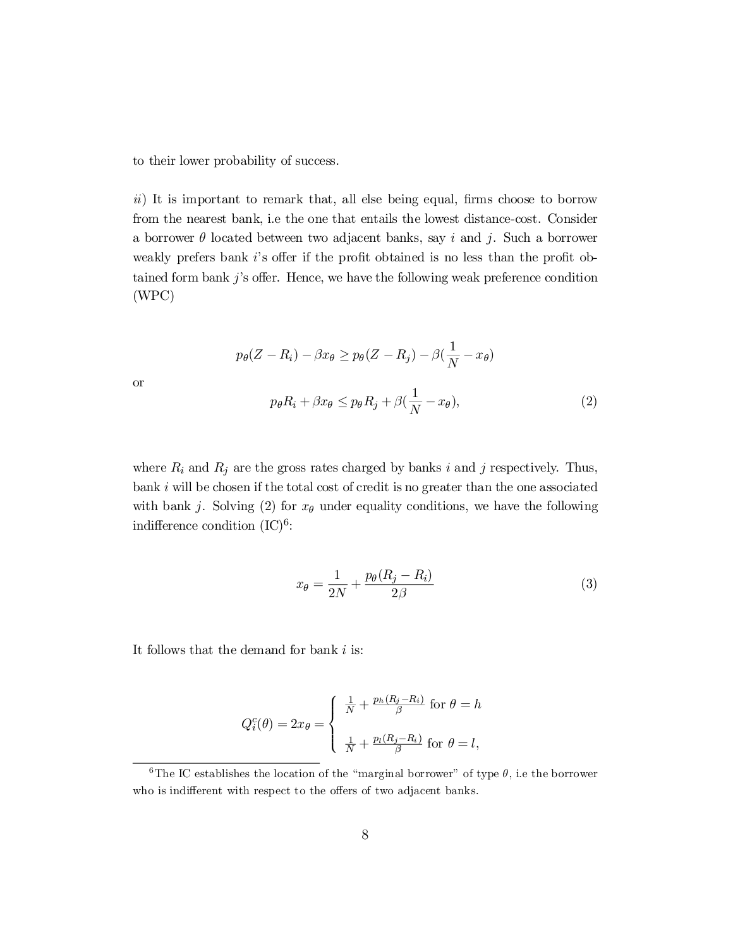to their lower probability of success.

or

 $ii)$  It is important to remark that, all else being equal, firms choose to borrow from the nearest bank, i.e the one that entails the lowest distance-cost. Consider a borrower  $\theta$  located between two adjacent banks, say i and j. Such a borrower weakly prefers bank  $i$ 's offer if the profit obtained is no less than the profit obtained form bank  $j$ 's offer. Hence, we have the following weak preference condition (WPC)

$$
p_{\theta}(Z - R_i) - \beta x_{\theta} \ge p_{\theta}(Z - R_j) - \beta(\frac{1}{N} - x_{\theta})
$$

$$
p_{\theta}R_i + \beta x_{\theta} \le p_{\theta}R_j + \beta(\frac{1}{N} - x_{\theta}),
$$
(2)

where  $R_i$  and  $R_j$  are the gross rates charged by banks i and j respectively. Thus, bank  $i$  will be chosen if the total cost of credit is no greater than the one associated with bank j. Solving (2) for  $x_{\theta}$  under equality conditions, we have the following indifference condition  $(IC)^6$ :

$$
x_{\theta} = \frac{1}{2N} + \frac{p_{\theta}(R_j - R_i)}{2\beta} \tag{3}
$$

It follows that the demand for bank  $i$  is:

$$
Q_i^c(\theta) = 2x_{\theta} = \begin{cases} \frac{1}{N} + \frac{p_h(R_j - R_i)}{\beta} & \text{for } \theta = h \\ \frac{1}{N} + \frac{p_l(R_j - R_i)}{\beta} & \text{for } \theta = l, \end{cases}
$$

<sup>&</sup>lt;sup>6</sup>The IC establishes the location of the "marginal borrower" of type  $\theta$ , i.e the borrower who is indifferent with respect to the offers of two adjacent banks.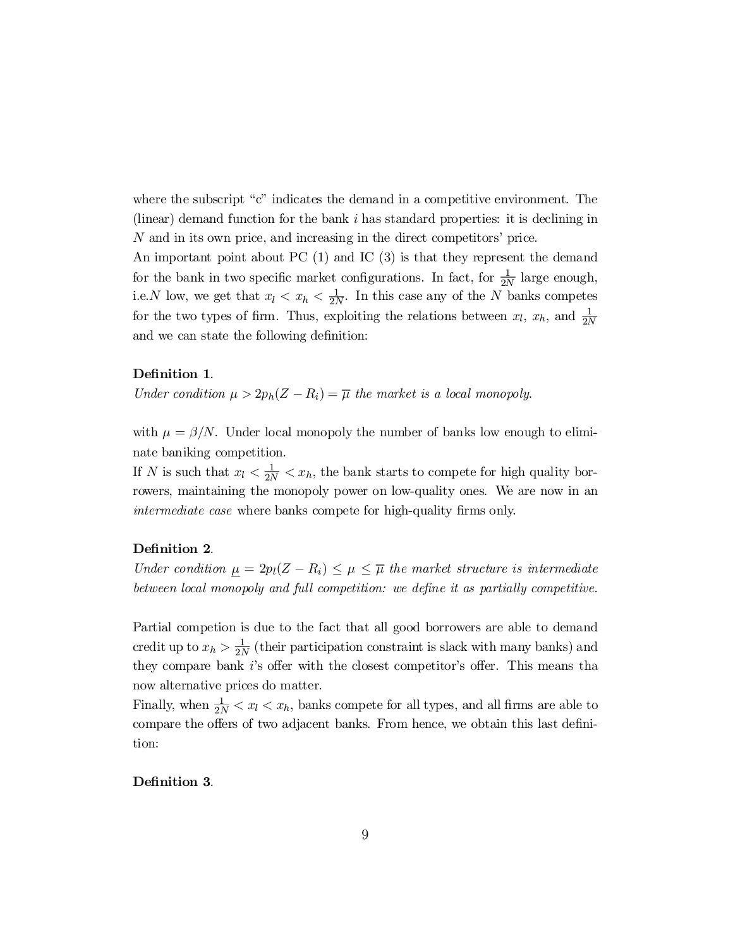where the subscript " $c$ " indicates the demand in a competitive environment. The (linear) demand function for the bank  $i$  has standard properties: it is declining in N and in its own price, and increasing in the direct competitors' price.

An important point about PC  $(1)$  and IC  $(3)$  is that they represent the demand for the bank in two specific market configurations. In fact, for  $\frac{1}{2}$  $\frac{1}{2N}$  large enough, i.e. N low, we get that  $x_l < x_h < \frac{1}{2N}$ . In this case any of the N banks competes for the two types of firm. Thus, exploiting the relations between  $x_l$ ,  $x_h$ , and  $\frac{1}{2l}$ 2N and we can state the following definition:

# Definition 1.

Under condition  $\mu > 2p_h(Z - R_i) = \overline{\mu}$  the market is a local monopoly.

with  $\mu = \beta/N$ . Under local monopoly the number of banks low enough to eliminate baniking competition.

If N is such that  $x_l < \frac{1}{2N} < x_h$ , the bank starts to compete for high quality borrowers, maintaining the monopoly power on low-quality ones. We are now in an *intermediate case* where banks compete for high-quality firms only.

### Definition 2.

Under condition  $\mu = 2p_l(Z - R_i) \leq \mu \leq \overline{\mu}$  the market structure is intermediate between local monopoly and full competition: we define it as partially competitive.

Partial competion is due to the fact that all good borrowers are able to demand credit up to  $x_h > \frac{1}{2l}$  $\frac{1}{2N}$  (their participation constraint is slack with many banks) and they compare bank  $i$ 's offer with the closest competitor's offer. This means that now alternative prices do matter.

Finally, when  $\frac{1}{2N} < x_l < x_h$ , banks compete for all types, and all firms are able to compare the offers of two adjacent banks. From hence, we obtain this last definition:

## Definition 3.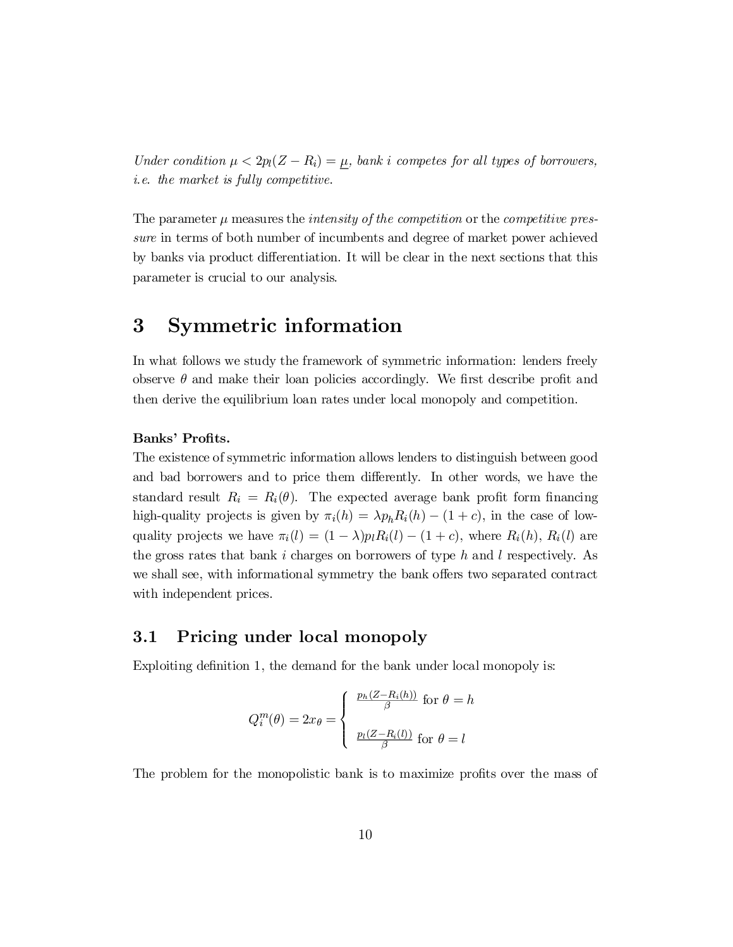Under condition  $\mu < 2p_l(Z - R_i) = \mu$ , bank i competes for all types of borrowers, i.e. the market is fully competitive.

The parameter  $\mu$  measures the *intensity of the competition* or the *competitive pres*sure in terms of both number of incumbents and degree of market power achieved by banks via product differentiation. It will be clear in the next sections that this parameter is crucial to our analysis.

# 3 Symmetric information

In what follows we study the framework of symmetric information: lenders freely observe  $\theta$  and make their loan policies accordingly. We first describe profit and then derive the equilibrium loan rates under local monopoly and competition.

# Banks' Profits.

The existence of symmetric information allows lenders to distinguish between good and bad borrowers and to price them differently. In other words, we have the standard result  $R_i = R_i(\theta)$ . The expected average bank profit form financing high-quality projects is given by  $\pi_i(h) = \lambda p_h R_i(h) - (1 + c)$ , in the case of lowquality projects we have  $\pi_i(l) = (1 - \lambda)p_lR_i(l) - (1 + c)$ , where  $R_i(h)$ ,  $R_i(l)$  are the gross rates that bank i charges on borrowers of type h and l respectively. As we shall see, with informational symmetry the bank offers two separated contract with independent prices.

# 3.1 Pricing under local monopoly

Exploiting definition 1, the demand for the bank under local monopoly is:

$$
Q_i^m(\theta) = 2x_{\theta} = \begin{cases} \frac{p_h(Z - R_i(h))}{\beta} \text{ for } \theta = h \\ \frac{p_l(Z - R_i(l))}{\beta} \text{ for } \theta = l \end{cases}
$$

The problem for the monopolistic bank is to maximize profits over the mass of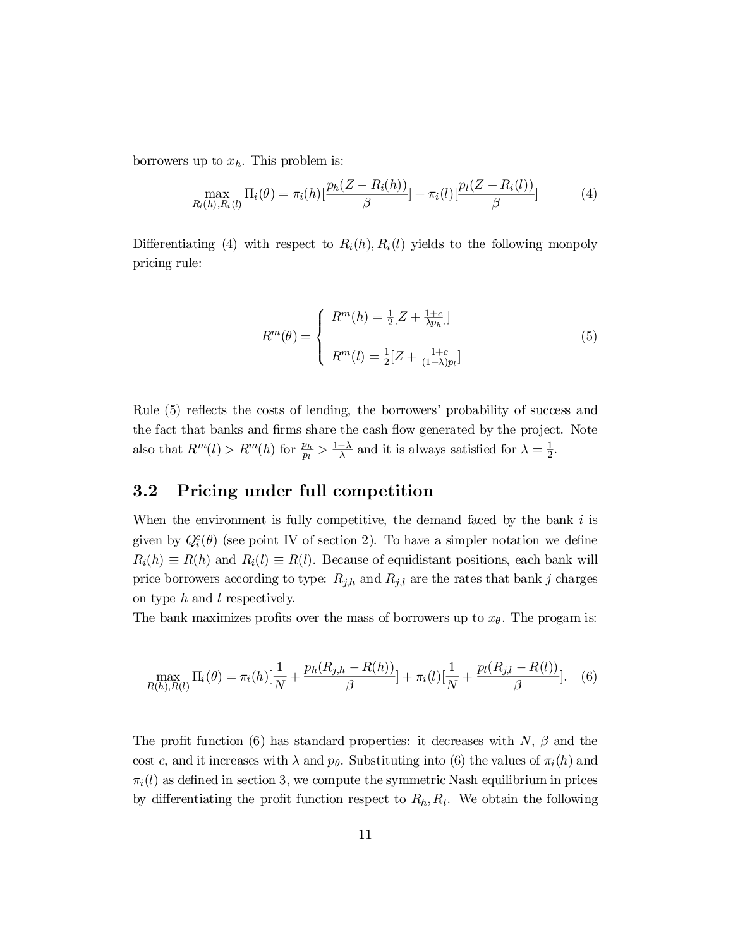borrowers up to  $x_h$ . This problem is:

$$
\max_{R_i(h), R_i(l)} \Pi_i(\theta) = \pi_i(h) \left[ \frac{p_h(Z - R_i(h))}{\beta} \right] + \pi_i(l) \left[ \frac{p_l(Z - R_i(l))}{\beta} \right] \tag{4}
$$

Differentiating (4) with respect to  $R_i(h)$ ,  $R_i(l)$  yields to the following monpoly pricing rule:

$$
R^{m}(\theta) = \begin{cases} R^{m}(h) = \frac{1}{2}[Z + \frac{1+c}{\lambda p_{h}}] \\ R^{m}(l) = \frac{1}{2}[Z + \frac{1+c}{(1-\lambda)p_{l}}] \end{cases}
$$
(5)

Rule (5) reflects the costs of lending, the borrowers' probability of success and the fact that banks and firms share the cash flow generated by the project. Note also that  $R^m(l) > R^m(h)$  for  $\frac{p_h}{m}$  $\frac{p_h}{p_l} > \frac{1-\lambda}{\lambda}$  and it is always satisfied for  $\lambda = \frac{1}{2}$  $\frac{1}{2}$ .

# 3.2 Pricing under full competition

When the environment is fully competitive, the demand faced by the bank  $i$  is given by  $Q_i^c(\theta)$  (see point IV of section 2). To have a simpler notation we define  $R_i(h) \equiv R(h)$  and  $R_i(l) \equiv R(l)$ . Because of equidistant positions, each bank will price borrowers according to type:  $R_{j,h}$  and  $R_{j,l}$  are the rates that bank j charges on type  $h$  and  $l$  respectively.

The bank maximizes profits over the mass of borrowers up to  $x_{\theta}$ . The progam is:

$$
\max_{R(h),R(l)} \Pi_i(\theta) = \pi_i(h)[\frac{1}{N} + \frac{p_h(R_{j,h} - R(h))}{\beta}] + \pi_i(l)[\frac{1}{N} + \frac{p_l(R_{j,l} - R(l))}{\beta}].
$$
 (6)

The profit function (6) has standard properties: it decreases with  $N$ ,  $\beta$  and the cost c, and it increases with  $\lambda$  and  $p_{\theta}$ . Substituting into (6) the values of  $\pi_i(h)$  and  $\pi_i(l)$  as defined in section 3, we compute the symmetric Nash equilibrium in prices by differentiating the profit function respect to  $R_h, R_l$ . We obtain the following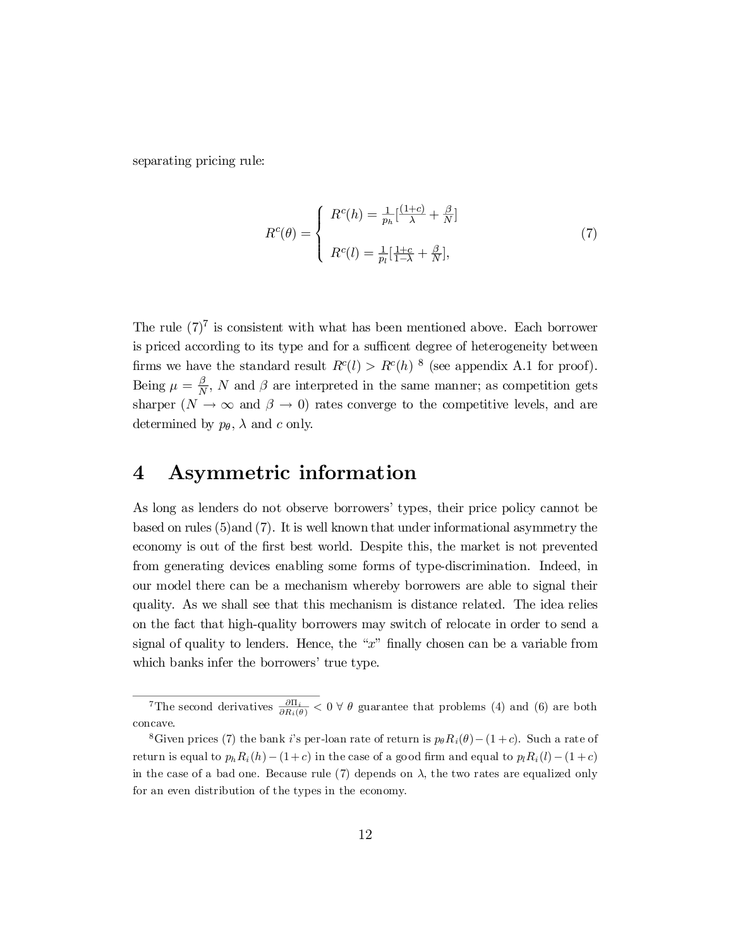separating pricing rule:

$$
R^{c}(\theta) = \begin{cases} R^{c}(h) = \frac{1}{p_{h}} \left[\frac{(1+c)}{\lambda} + \frac{\beta}{N}\right] \\ R^{c}(l) = \frac{1}{p_{l}} \left[\frac{1+c}{1-\lambda} + \frac{\beta}{N}\right], \end{cases}
$$
(7)

The rule  $(7)^7$  is consistent with what has been mentioned above. Each borrower is priced according to its type and for a sufficent degree of heterogeneity between firms we have the standard result  $R^{c}(l) > R^{c}(h)$  <sup>8</sup> (see appendix A.1 for proof). Being  $\mu = \frac{\beta}{\Delta}$  $\frac{\rho}{N}$ , N and  $\beta$  are interpreted in the same manner; as competition gets sharper  $(N \to \infty$  and  $\beta \to 0)$  rates converge to the competitive levels, and are determined by  $p_{\theta}$ ,  $\lambda$  and c only.

# 4 Asymmetric information

As long as lenders do not observe borrowers' types, their price policy cannot be based on rules (5)and (7). It is well known that under informational asymmetry the economy is out of the first best world. Despite this, the market is not prevented from generating devices enabling some forms of type-discrimination. Indeed, in our model there can be a mechanism whereby borrowers are able to signal their quality. As we shall see that this mechanism is distance related. The idea relies on the fact that high-quality borrowers may switch of relocate in order to send a signal of quality to lenders. Hence, the " $x$ " finally chosen can be a variable from which banks infer the borrowers' true type.

<sup>&</sup>lt;sup>7</sup>The second derivatives  $\frac{\partial \Pi_i}{\partial R_i(\theta)} < 0 \forall \theta$  guarantee that problems (4) and (6) are both concave.

<sup>&</sup>lt;sup>8</sup>Given prices (7) the bank i's per-loan rate of return is  $p_{\theta}R_i(\theta) - (1 + c)$ . Such a rate of return is equal to  $p_h R_i(h) - (1+c)$  in the case of a good firm and equal to  $p_l R_i (l) - (1+c)$ in the case of a bad one. Because rule  $(7)$  depends on  $\lambda$ , the two rates are equalized only for an even distribution of the types in the economy.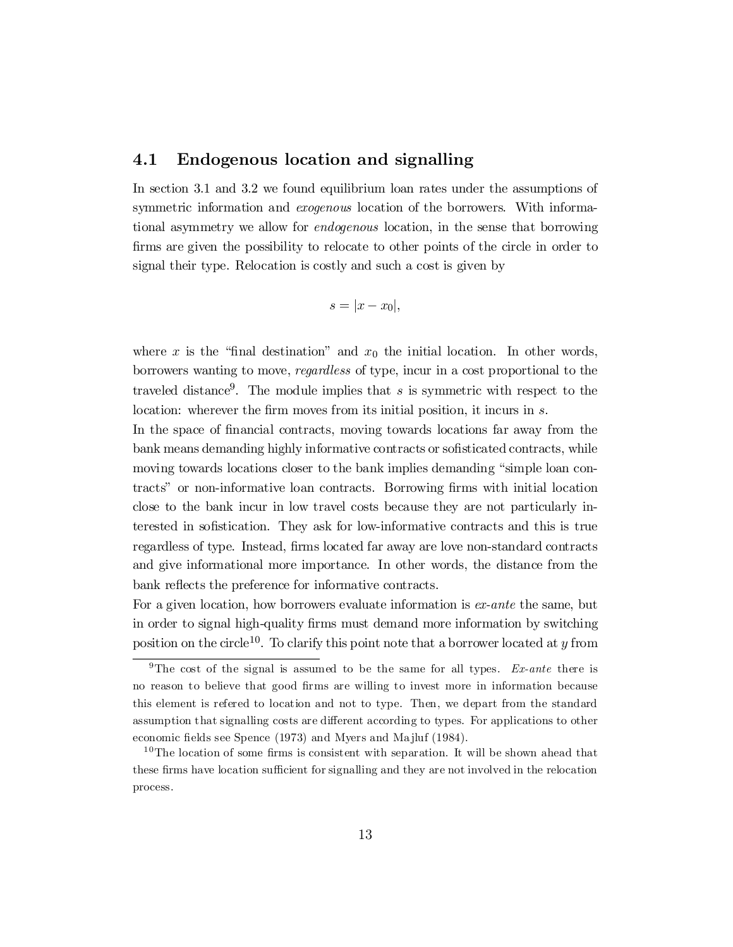# 4.1 Endogenous location and signalling

In section 3.1 and 3.2 we found equilibrium loan rates under the assumptions of symmetric information and *exogenous* location of the borrowers. With informational asymmetry we allow for endogenous location, in the sense that borrowing firms are given the possibility to relocate to other points of the circle in order to signal their type. Relocation is costly and such a cost is given by

$$
s=|x-x_0|,
$$

where x is the "final destination" and  $x_0$  the initial location. In other words, borrowers wanting to move, regardless of type, incur in a cost proportional to the traveled distance 9 . The module implies that s is symmetric with respect to the location: wherever the firm moves from its initial position, it incurs in s.

In the space of financial contracts, moving towards locations far away from the bank means demanding highly informative contracts or sofisticated contracts, while moving towards locations closer to the bank implies demanding "simple loan contracts" or non-informative loan contracts. Borrowing ¯rms with initial location close to the bank incur in low travel costs because they are not particularly interested in sofistication. They ask for low-informative contracts and this is true regardless of type. Instead, firms located far away are love non-standard contracts and give informational more importance. In other words, the distance from the bank reflects the preference for informative contracts.

For a given location, how borrowers evaluate information is ex-ante the same, but in order to signal high-quality firms must demand more information by switching position on the circle<sup>10</sup>. To clarify this point note that a borrower located at y from

<sup>&</sup>lt;sup>9</sup>The cost of the signal is assumed to be the same for all types. Ex-ante there is no reason to believe that good firms are willing to invest more in information because this element is refered to location and not to type. Then, we depart from the standard assumption that signalling costs are different according to types. For applications to other economic fields see Spence (1973) and Myers and Majluf (1984).

 $10$ The location of some firms is consistent with separation. It will be shown ahead that these firms have location sufficient for signalling and they are not involved in the relocation process.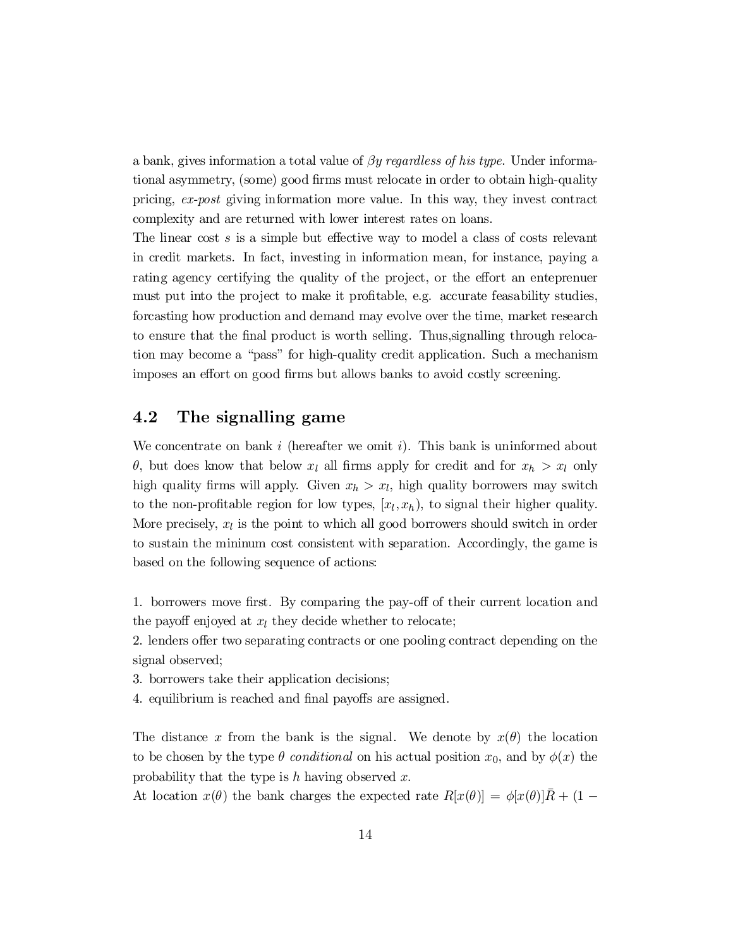a bank, gives information a total value of  $\beta y$  regardless of his type. Under informational asymmetry, (some) good firms must relocate in order to obtain high-quality pricing, ex-post giving information more value. In this way, they invest contract complexity and are returned with lower interest rates on loans.

The linear cost  $s$  is a simple but effective way to model a class of costs relevant in credit markets. In fact, investing in information mean, for instance, paying a rating agency certifying the quality of the project, or the effort an enteprenuer must put into the project to make it profitable, e.g. accurate feasability studies, forcasting how production and demand may evolve over the time, market research to ensure that the final product is worth selling. Thus, signalling through relocation may become a "pass" for high-quality credit application. Such a mechanism imposes an effort on good firms but allows banks to avoid costly screening.

# 4.2 The signalling game

We concentrate on bank i (hereafter we omit i). This bank is uninformed about  $\theta$ , but does know that below  $x_l$  all firms apply for credit and for  $x_h > x_l$  only high quality firms will apply. Given  $x_h > x_l$ , high quality borrowers may switch to the non-profitable region for low types,  $[x_l, x_h)$ , to signal their higher quality. More precisely,  $x_l$  is the point to which all good borrowers should switch in order to sustain the mininum cost consistent with separation. Accordingly, the game is based on the following sequence of actions:

1. borrowers move first. By comparing the pay-off of their current location and the payoff enjoyed at  $x_l$  they decide whether to relocate;

2. lenders offer two separating contracts or one pooling contract depending on the signal observed;

3. borrowers take their application decisions;

4. equilibrium is reached and final payoffs are assigned.

The distance x from the bank is the signal. We denote by  $x(\theta)$  the location to be chosen by the type  $\theta$  conditional on his actual position  $x_0$ , and by  $\phi(x)$  the probability that the type is  $h$  having observed  $x$ .

At location  $x(\theta)$  the bank charges the expected rate  $R[x(\theta)] = \phi[x(\theta)]\overline{R} + (1 -$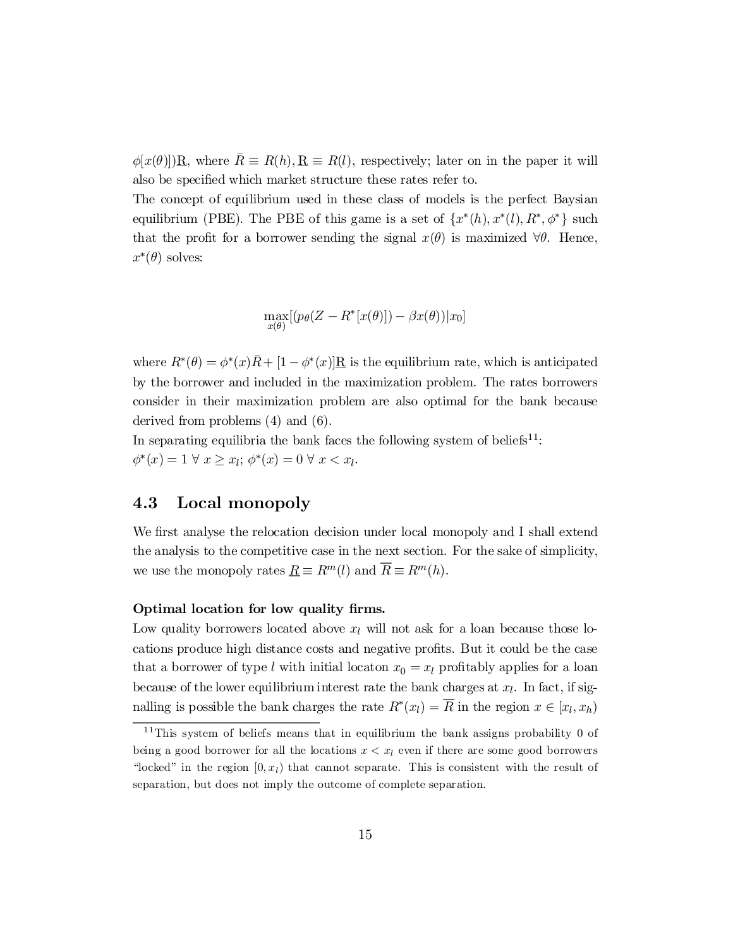$\phi[x(\theta)]\underline{R}$ , where  $\overline{R} \equiv R(h), \underline{R} \equiv R(l)$ , respectively; later on in the paper it will also be specified which market structure these rates refer to.

The concept of equilibrium used in these class of models is the perfect Baysian equilibrium (PBE). The PBE of this game is a set of  $\{x^*(h), x^*(l), R^*, \phi^*\}$  such that the profit for a borrower sending the signal  $x(\theta)$  is maximized  $\forall \theta$ . Hence,  $x^*(\theta)$  solves:

$$
\max_{x(\theta)} [(p_{\theta}(Z - R^*[x(\theta)]) - \beta x(\theta)) | x_0]
$$

where  $R^*(\theta) = \phi^*(x)\overline{R} + [1 - \phi^*(x)]\overline{R}$  is the equilibrium rate, which is anticipated by the borrower and included in the maximization problem. The rates borrowers consider in their maximization problem are also optimal for the bank because derived from problems (4) and (6).

In separating equilibria the bank faces the following system of beliefs<sup>11</sup>:  $\phi^*(x) = 1 \ \forall \ x \geq x_l; \ \phi^*(x) = 0 \ \forall \ x < x_l.$ 

# 4.3 Local monopoly

We first analyse the relocation decision under local monopoly and I shall extend the analysis to the competitive case in the next section. For the sake of simplicity, we use the monopoly rates  $\underline{R} \equiv R^m(l)$  and  $\overline{R} \equiv R^m(h)$ .

### Optimal location for low quality firms.

Low quality borrowers located above  $x_l$  will not ask for a loan because those locations produce high distance costs and negative profits. But it could be the case that a borrower of type l with initial locaton  $x_0 = x_l$  profitably applies for a loan because of the lower equilibrium interest rate the bank charges at  $x_l$ . In fact, if signalling is possible the bank charges the rate  $R^*(x_l) = R$  in the region  $x \in [x_l, x_h]$ 

 $11$ This system of beliefs means that in equilibrium the bank assigns probability 0 of being a good borrower for all the locations  $x < x<sub>l</sub>$  even if there are some good borrowers "locked" in the region  $[0, x_l)$  that cannot separate. This is consistent with the result of separation, but does not imply the outcome of complete separation.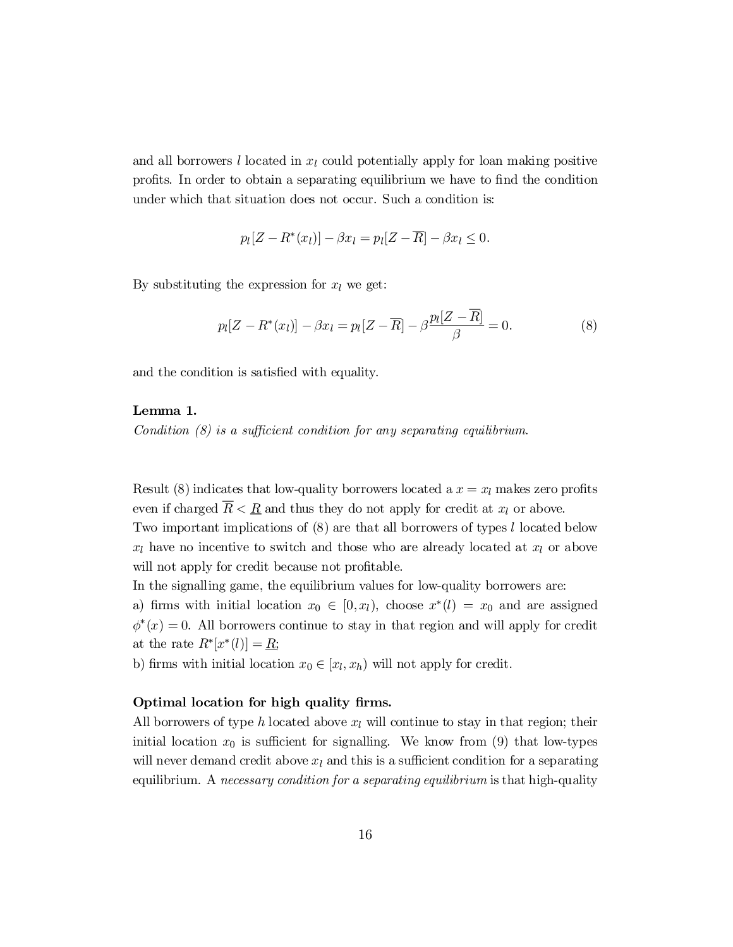and all borrowers l located in  $x_l$  could potentially apply for loan making positive profits. In order to obtain a separating equilibrium we have to find the condition under which that situation does not occur. Such a condition is:

$$
p_l[Z - R^*(x_l)] - \beta x_l = p_l[Z - \overline{R}] - \beta x_l \le 0.
$$

By substituting the expression for  $x_l$  we get:

$$
p_l[Z - R^*(x_l)] - \beta x_l = p_l[Z - \overline{R}] - \beta \frac{p_l[Z - \overline{R}]}{\beta} = 0.
$$
 (8)

and the condition is satisfied with equality.

# Lemma 1.

Condition  $(8)$  is a sufficient condition for any separating equilibrium.

Result (8) indicates that low-quality borrowers located a  $x = x<sub>l</sub>$  makes zero profits even if charged  $\overline{R} < R$  and thus they do not apply for credit at  $x_l$  or above.

Two important implications of (8) are that all borrowers of types l located below  $x_l$  have no incentive to switch and those who are already located at  $x_l$  or above will not apply for credit because not profitable.

In the signalling game, the equilibrium values for low-quality borrowers are:

a) firms with initial location  $x_0 \in [0, x_l)$ , choose  $x^*(l) = x_0$  and are assigned  $\phi^*(x) = 0$ . All borrowers continue to stay in that region and will apply for credit at the rate  $R^*[x^*(l)] = \underline{R};$ 

b) firms with initial location  $x_0 \in [x_l, x_h)$  will not apply for credit.

## Optimal location for high quality firms.

All borrowers of type h located above  $x_l$  will continue to stay in that region; their initial location  $x_0$  is sufficient for signalling. We know from (9) that low-types will never demand credit above  $x_l$  and this is a sufficient condition for a separating equilibrium. A *necessary condition for a separating equilibrium* is that high-quality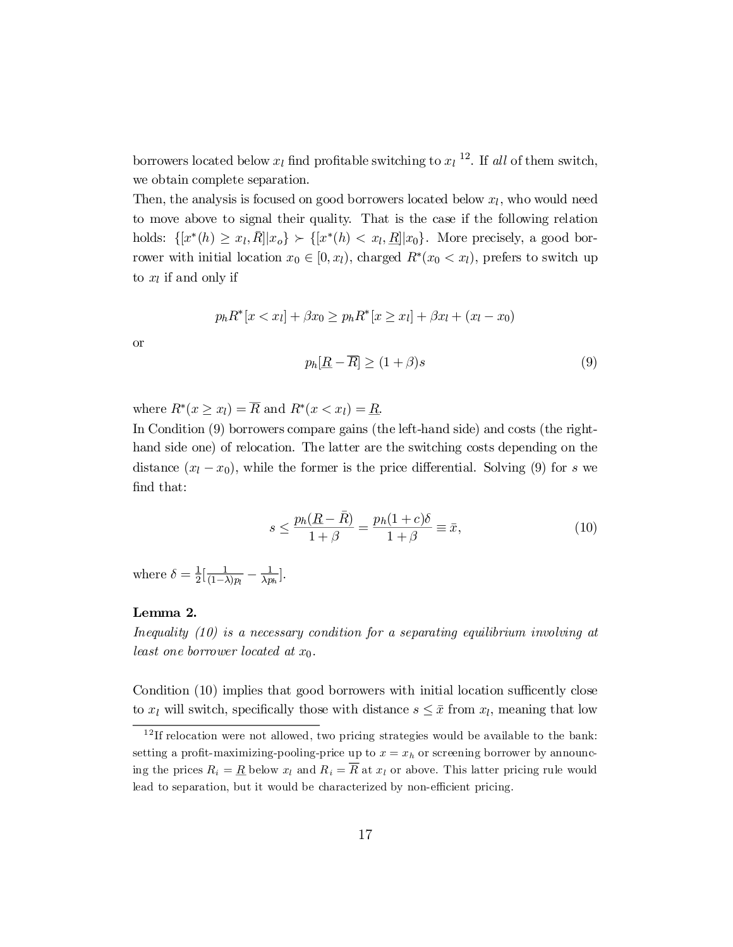borrowers located below  $x_l$  find profitable switching to  $x_l$ <sup>12</sup>. If all of them switch, we obtain complete separation.

Then, the analysis is focused on good borrowers located below  $x_l$ , who would need to move above to signal their quality. That is the case if the following relation holds:  $\{ [x^*(h) \ge x_l, \overline{R}] | x_o \} \succ \{ [x^*(h) < x_l, \underline{R}] | x_0 \}$ . More precisely, a good borrower with initial location  $x_0 \in [0, x_l)$ , charged  $R^*(x_0 < x_l)$ , prefers to switch up to  $x_l$  if and only if

$$
p_h R^*[x < x_l] + \beta x_0 \ge p_h R^*[x \ge x_l] + \beta x_l + (x_l - x_0)
$$

or

$$
p_h[\underline{R} - \overline{R}] \ge (1 + \beta)s \tag{9}
$$

where  $R^*(x \geq x_l) = R$  and  $R^*(x < x_l) = R$ .

In Condition (9) borrowers compare gains (the left-hand side) and costs (the righthand side one) of relocation. The latter are the switching costs depending on the distance  $(x_l - x_0)$ , while the former is the price differential. Solving (9) for s we find that:

$$
s \le \frac{p_h(\underline{R} - \bar{R})}{1 + \beta} = \frac{p_h(1 + c)\delta}{1 + \beta} \equiv \bar{x},\tag{10}
$$

where  $\delta = \frac{1}{2}$  $rac{1}{2}[\frac{1}{(1-)}$  $\frac{1}{(1-\lambda)p_l}-\frac{1}{\lambda p}$  $\frac{1}{\lambda p_h}$ .

# Lemma 2.

Inequality (10) is a necessary condition for a separating equilibrium involving at least one borrower located at  $x_0$ .

Condition  $(10)$  implies that good borrowers with initial location sufficently close to  $x_l$  will switch, specifically those with distance  $s \leq \bar{x}$  from  $x_l$ , meaning that low

<sup>&</sup>lt;sup>12</sup>If relocation were not allowed, two pricing strategies would be available to the bank: setting a profit-maximizing-pooling-price up to  $x = x_h$  or screening borrower by announcing the prices  $R_i = \underline{R}$  below  $x_l$  and  $R_i = R$  at  $x_l$  or above. This latter pricing rule would lead to separation, but it would be characterized by non-efficient pricing.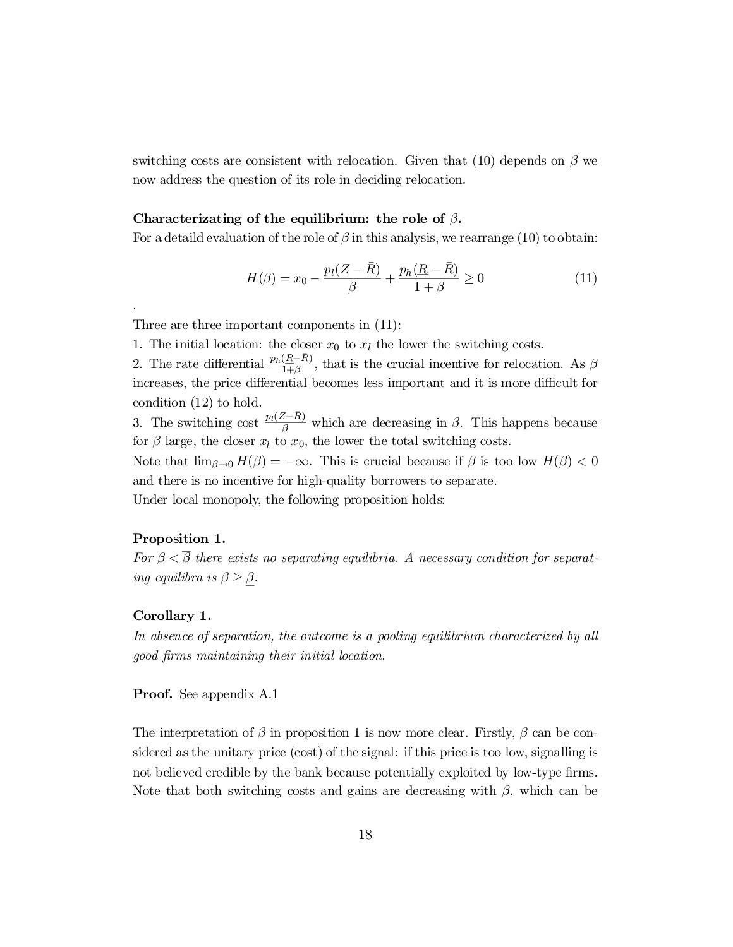switching costs are consistent with relocation. Given that (10) depends on  $\beta$  we now address the question of its role in deciding relocation.

## Characterizating of the equilibrium: the role of  $\beta$ .

For a detaild evaluation of the role of  $\beta$  in this analysis, we rearrange (10) to obtain:

$$
H(\beta) = x_0 - \frac{p_l(Z - \bar{R})}{\beta} + \frac{p_h(\bar{R} - \bar{R})}{1 + \beta} \ge 0
$$
\n(11)

Three are three important components in (11):

1. The initial location: the closer  $x_0$  to  $x_l$  the lower the switching costs.

2. The rate differential  $\frac{p_h(R-\bar{R})}{1+\beta}$ , that is the crucial incentive for relocation. As  $\beta$ increases, the price differential becomes less important and it is more difficult for condition (12) to hold.

3. The switching cost  $\frac{p_l(Z-\bar{R})}{\beta}$  which are decreasing in  $\beta$ . This happens because for  $\beta$  large, the closer  $x_l$  to  $x_0$ , the lower the total switching costs.

Note that  $\lim_{\beta \to 0} H(\beta) = -\infty$ . This is crucial because if  $\beta$  is too low  $H(\beta) < 0$ and there is no incentive for high-quality borrowers to separate.

Under local monopoly, the following proposition holds:

# Proposition 1.

.

For  $\beta < \overline{\beta}$  there exists no separating equilibria. A necessary condition for separating equilibra is  $\beta \geq \beta$ .

### Corollary 1.

In absence of separation, the outcome is a pooling equilibrium characterized by all good firms maintaining their initial location.

**Proof.** See appendix A.1

The interpretation of  $\beta$  in proposition 1 is now more clear. Firstly,  $\beta$  can be considered as the unitary price (cost) of the signal: if this price is too low, signalling is not believed credible by the bank because potentially exploited by low-type firms. Note that both switching costs and gains are decreasing with  $\beta$ , which can be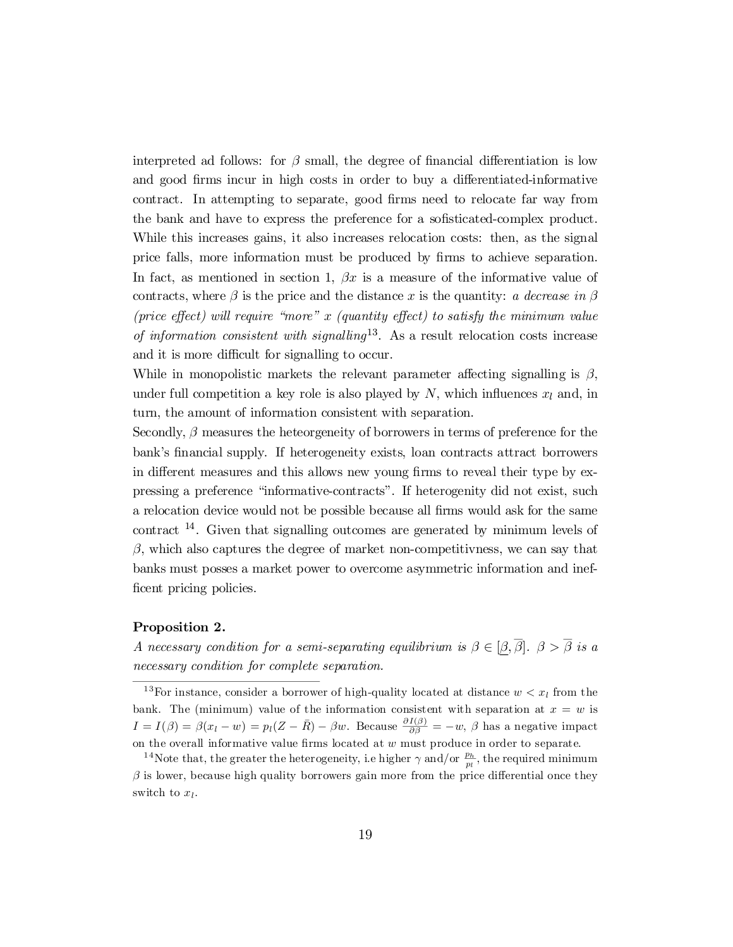interpreted ad follows: for  $\beta$  small, the degree of financial differentiation is low and good firms incur in high costs in order to buy a differentiated-informative contract. In attempting to separate, good firms need to relocate far way from the bank and have to express the preference for a sofisticated-complex product. While this increases gains, it also increases relocation costs: then, as the signal price falls, more information must be produced by firms to achieve separation. In fact, as mentioned in section 1,  $\beta x$  is a measure of the informative value of contracts, where  $\beta$  is the price and the distance x is the quantity: a decrease in  $\beta$ (price effect) will require "more" x (quantity effect) to satisfy the minimum value of information consistent with signalling<sup>13</sup>. As a result relocation costs increase and it is more difficult for signalling to occur.

While in monopolistic markets the relevant parameter affecting signalling is  $\beta$ , under full competition a key role is also played by  $N$ , which influences  $x_l$  and, in turn, the amount of information consistent with separation.

Secondly,  $\beta$  measures the heteorgeneity of borrowers in terms of preference for the bank's financial supply. If heterogeneity exists, loan contracts attract borrowers in different measures and this allows new young firms to reveal their type by expressing a preference \informative-contracts". If heterogenity did not exist, such a relocation device would not be possible because all firms would ask for the same contract 14 . Given that signalling outcomes are generated by minimum levels of  $\beta$ , which also captures the degree of market non-competitivness, we can say that banks must posses a market power to overcome asymmetric information and inef ficent pricing policies.

#### Proposition 2.

A necessary condition for a semi-separating equilibrium is  $\beta \in [\beta, \overline{\beta}]$ .  $\beta > \overline{\beta}$  is a necessary condition for complete separation.

<sup>13</sup>For instance, consider a borrower of high-quality located at distance  $w < x<sub>l</sub>$  from the bank. The (minimum) value of the information consistent with separation at  $x = w$  is  $I = I(\beta) = \beta(x_l - w) = p_l(Z - \bar{R}) - \beta w$ . Because  $\frac{\partial I(\beta)}{\partial \beta} = -w$ ,  $\beta$  has a negative impact on the overall informative value firms located at  $w$  must produce in order to separate.

<sup>&</sup>lt;sup>14</sup>Note that, the greater the heterogeneity, i.e higher  $\gamma$  and/or  $\frac{p_h}{m}$  $\frac{p_h}{p_l}$ , the required minimum  $\beta$  is lower, because high quality borrowers gain more from the price differential once they switch to  $x_l$ .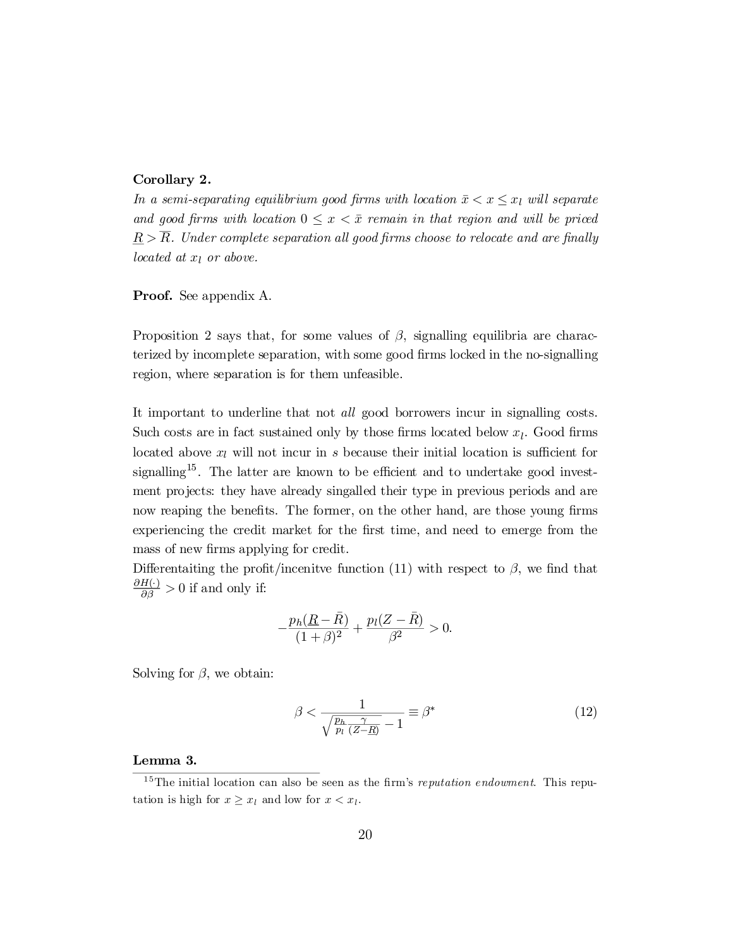### Corollary 2.

In a semi-separating equilibrium good firms with location  $\bar{x} < x \leq x_l$  will separate and good firms with location  $0 \leq x \leq \bar{x}$  remain in that region and will be priced  $R > \overline{R}$ . Under complete separation all good firms choose to relocate and are finally located at  $x_l$  or above.

Proof. See appendix A.

Proposition 2 says that, for some values of  $\beta$ , signalling equilibria are characterized by incomplete separation, with some good firms locked in the no-signalling region, where separation is for them unfeasible.

It important to underline that not all good borrowers incur in signalling costs. Such costs are in fact sustained only by those firms located below  $x_l$ . Good firms located above  $x_l$  will not incur in s because their initial location is sufficient for signalling<sup>15</sup>. The latter are known to be efficient and to undertake good investment projects: they have already singalled their type in previous periods and are now reaping the benefits. The former, on the other hand, are those young firms experiencing the credit market for the first time, and need to emerge from the mass of new firms applying for credit.

Differentaiting the profit/incenitve function (11) with respect to  $\beta$ , we find that  $\frac{\partial H(\cdot)}{\partial \beta} > 0$  if and only if:

$$
-\frac{p_h(\underline{R}-\bar{R})}{(1+\beta)^2} + \frac{p_l(Z-\bar{R})}{\beta^2} > 0.
$$

Solving for  $\beta$ , we obtain:

$$
\beta < \frac{1}{\sqrt{\frac{p_h - \gamma}{p_l} \left( Z - R \right)}} = \beta^* \tag{12}
$$

#### Lemma 3.

<sup>&</sup>lt;sup>15</sup>The initial location can also be seen as the firm's *reputation endowment*. This reputation is high for  $x \geq x_l$  and low for  $x < x_l$ .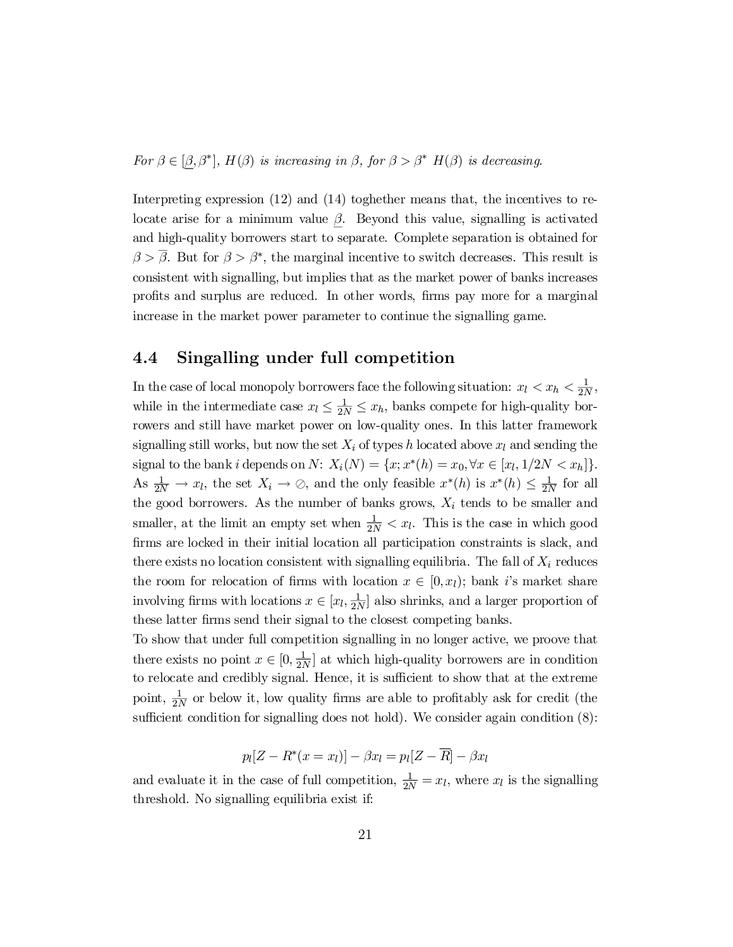For  $\beta \in [\beta, \beta^*], H(\beta)$  is increasing in  $\beta$ , for  $\beta > \beta^*$   $H(\beta)$  is decreasing.

Interpreting expression (12) and (14) toghether means that, the incentives to relocate arise for a minimum value  $\beta$ . Beyond this value, signalling is activated and high-quality borrowers start to separate. Complete separation is obtained for  $\beta > \beta$ . But for  $\beta > \beta^*$ , the marginal incentive to switch decreases. This result is consistent with signalling, but implies that as the market power of banks increases profits and surplus are reduced. In other words, firms pay more for a marginal increase in the market power parameter to continue the signalling game.

# 4.4 Singalling under full competition

In the case of local monopoly borrowers face the following situation:  $x_l < x_h < \frac{1}{2l}$  $\frac{1}{2N}$ while in the intermediate case  $x_l \leq \frac{1}{2N} \leq x_h$ , banks compete for high-quality borrowers and still have market power on low-quality ones. In this latter framework signalling still works, but now the set  $X_i$  of types h located above  $x_l$  and sending the signal to the bank *i* depends on  $N: X_i(N) = \{x; x^*(h) = x_0, \forall x \in [x_l, 1/2N < x_h]\}.$ As  $\frac{1}{2N} \to x_l$ , the set  $X_i \to \emptyset$ , and the only feasible  $x^*(h)$  is  $x^*(h) \leq \frac{1}{2N}$  for all the good borrowers. As the number of banks grows,  $X_i$  tends to be smaller and smaller, at the limit an empty set when  $\frac{1}{2N} < x_l$ . This is the case in which good firms are locked in their initial location all participation constraints is slack, and there exists no location consistent with signalling equilibria. The fall of  $X_i$  reduces the room for relocation of firms with location  $x \in [0, x_l)$ ; bank i's market share involving firms with locations  $x \in [x_l, \frac{1}{2l}]$  $\frac{1}{2N}$  also shrinks, and a larger proportion of these latter firms send their signal to the closest competing banks.

To show that under full competition signalling in no longer active, we proove that there exists no point  $x \in [0, \frac{1}{2l}]$  $\frac{1}{2N}$  at which high-quality borrowers are in condition to relocate and credibly signal. Hence, it is sufficient to show that at the extreme point,  $\frac{1}{2l}$  $\frac{1}{2N}$  or below it, low quality firms are able to profitably ask for credit (the sufficient condition for signalling does not hold). We consider again condition  $(8)$ :

$$
p_l[Z - R^*(x = x_l)] - \beta x_l = p_l[Z - \overline{R}] - \beta x_l
$$

and evaluate it in the case of full competition,  $\frac{1}{2N} = x_l$ , where  $x_l$  is the signalling threshold. No signalling equilibria exist if: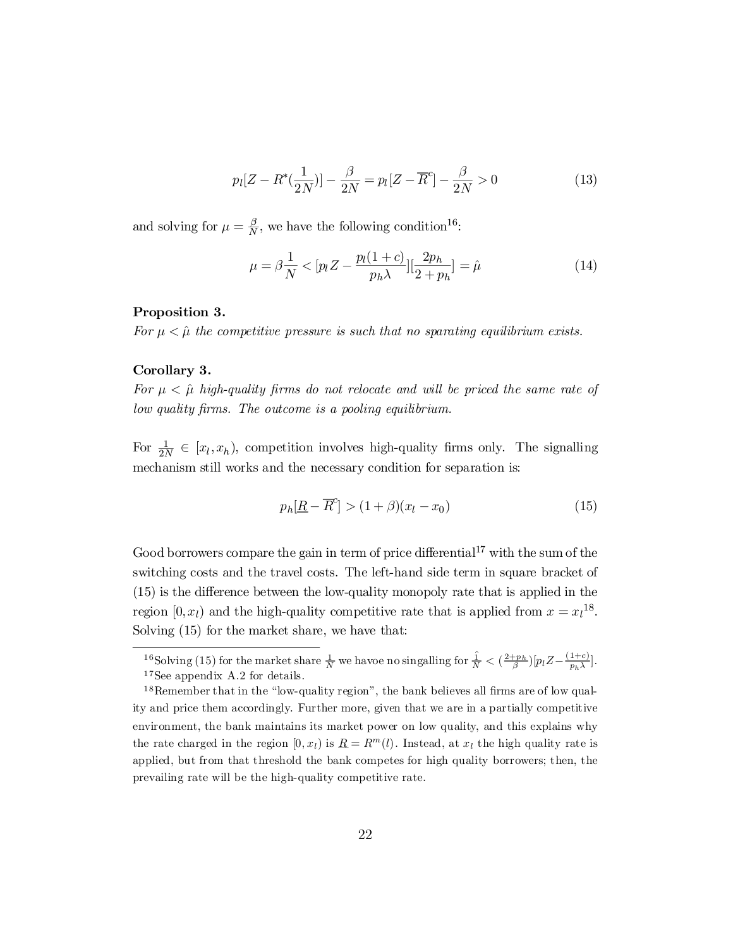$$
p_l[Z - R^*(\frac{1}{2N})] - \frac{\beta}{2N} = p_l[Z - \overline{R}^c] - \frac{\beta}{2N} > 0
$$
\n(13)

and solving for  $\mu = \frac{\beta}{N}$  $\frac{\beta}{N}$ , we have the following condition<sup>16</sup>:

$$
\mu = \beta \frac{1}{N} < \left[ p_l Z - \frac{p_l (1 + c)}{p_h \lambda} \right] \left[ \frac{2p_h}{2 + p_h} \right] = \hat{\mu} \tag{14}
$$

# Proposition 3.

For  $\mu < \hat{\mu}$  the competitive pressure is such that no sparating equilibrium exists.

### Corollary 3.

For  $\mu < \hat{\mu}$  high-quality firms do not relocate and will be priced the same rate of low quality firms. The outcome is a pooling equilibrium.

For  $\frac{1}{2N} \in [x_l, x_h)$ , competition involves high-quality firms only. The signalling mechanism still works and the necessary condition for separation is:

$$
p_h[\underline{R} - \overline{R}^c] > (1 + \beta)(x_l - x_0) \tag{15}
$$

Good borrowers compare the gain in term of price differential<sup>17</sup> with the sum of the switching costs and the travel costs. The left-hand side term in square bracket of  $(15)$  is the difference between the low-quality monopoly rate that is applied in the region  $[0, x_l)$  and the high-quality competitive rate that is applied from  $x = x_l^{18}$ . Solving (15) for the market share, we have that:

<sup>16</sup>Solving (15) for the market share  $\frac{1}{N}$  we havoe no singalling for  $\frac{\hat{1}}{N} < (\frac{2+p_h}{\beta})[p_lZ - \frac{(1+c)}{p_h\lambda}]$  $\frac{1+c_j}{p_h\lambda}$ . <sup>17</sup>See appendix A.2 for details.

 $18$ Remember that in the "low-quality region", the bank believes all firms are of low quality and price them accordingly. Further more, given that we are in a partially competitive environment, the bank maintains its market power on low quality, and this explains why the rate charged in the region  $[0, x_l)$  is  $\underline{R} = R^m(l)$ . Instead, at  $x_l$  the high quality rate is applied, but from that threshold the bank competes for high quality borrowers; then, the prevailing rate will be the high-quality competitive rate.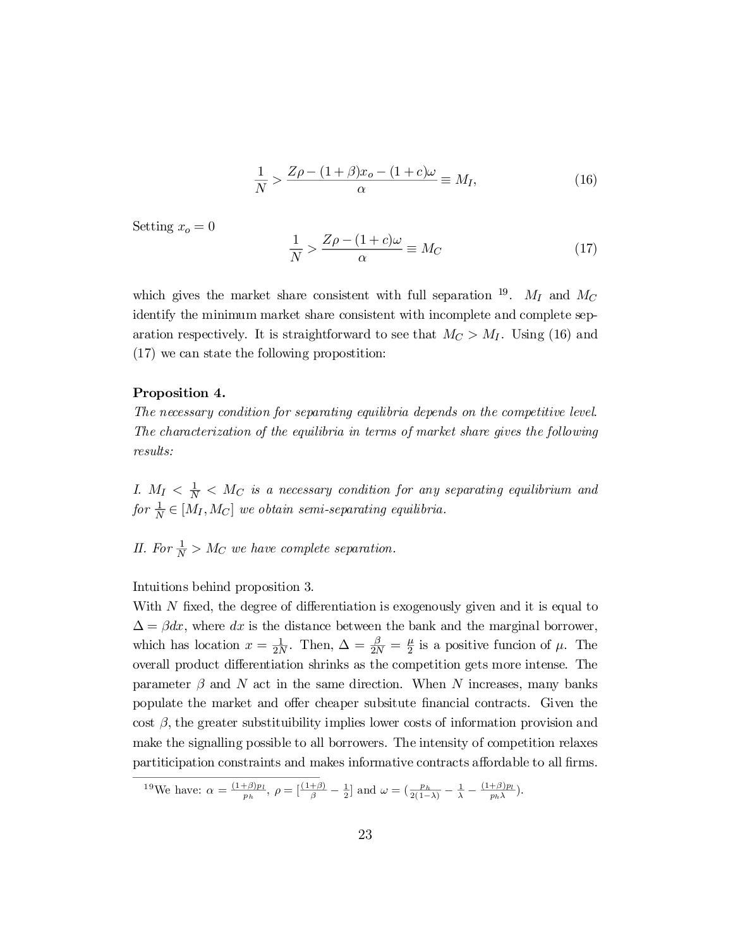$$
\frac{1}{N} > \frac{Z\rho - (1+\beta)x_o - (1+c)\omega}{\alpha} \equiv M_I,\tag{16}
$$

Setting  $x_o = 0$ 

$$
\frac{1}{N} > \frac{Z\rho - (1+c)\omega}{\alpha} \equiv M_C \tag{17}
$$

which gives the market share consistent with full separation <sup>19</sup>.  $M_I$  and  $M_C$ identify the minimum market share consistent with incomplete and complete separation respectively. It is straightforward to see that  $M_C > M_I$ . Using (16) and (17) we can state the following propostition:

## Proposition 4.

The necessary condition for separating equilibria depends on the competitive level. The characterization of the equilibria in terms of market share gives the following results:

I.  $M_I < \frac{1}{N} < M_C$  is a necessary condition for any separating equilibrium and for  $\frac{1}{N} \in [M_I, M_C]$  we obtain semi-separating equilibria.

II. For  $\frac{1}{N} > M_C$  we have complete separation.

Intuitions behind proposition 3.

With  $N$  fixed, the degree of differentiation is exogenously given and it is equal to  $\Delta = \beta dx$ , where dx is the distance between the bank and the marginal borrower, which has location  $x = \frac{1}{2N}$ . Then,  $\Delta = \frac{\beta}{2N} = \frac{\mu}{2}$  $\frac{\mu}{2}$  is a positive funcion of  $\mu$ . The overall product differentiation shrinks as the competition gets more intense. The parameter  $\beta$  and N act in the same direction. When N increases, many banks populate the market and offer cheaper subsitute financial contracts. Given the  $\cos t$ ,  $\beta$ , the greater substituibility implies lower costs of information provision and make the signalling possible to all borrowers. The intensity of competition relaxes partiticipation constraints and makes informative contracts affordable to all firms.

<sup>&</sup>lt;sup>19</sup>We have:  $\alpha = \frac{(1+\beta)p_l}{p_l}$  $\frac{(\pm \beta)p_l}{p_h}, \ \rho = \left[\frac{(1+\beta)}{\beta} - \frac{1}{2}\right]$  and  $\omega = \left(\frac{p_h}{2(1-\lambda)} - \frac{1}{\lambda} - \frac{(1+\beta)p_l}{p_h\lambda}\right)$  $\frac{\pm \rho \cdot p_l}{p_h \lambda}$ ).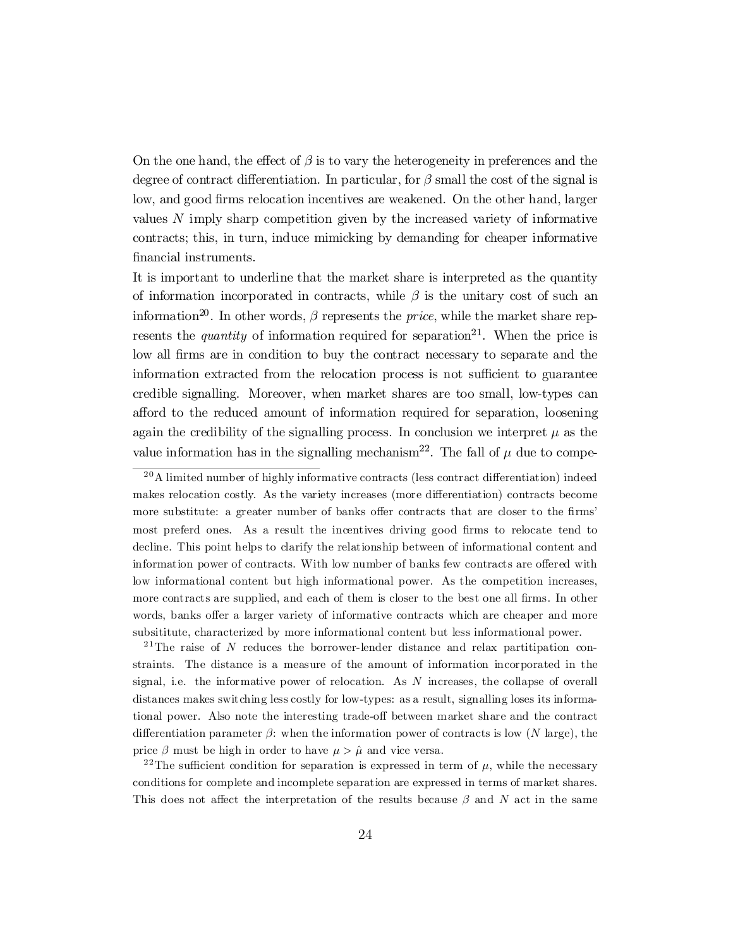On the one hand, the effect of  $\beta$  is to vary the heterogeneity in preferences and the degree of contract differentiation. In particular, for  $\beta$  small the cost of the signal is low, and good firms relocation incentives are weakened. On the other hand, larger values N imply sharp competition given by the increased variety of informative contracts; this, in turn, induce mimicking by demanding for cheaper informative financial instruments.

It is important to underline that the market share is interpreted as the quantity of information incorporated in contracts, while  $\beta$  is the unitary cost of such an information<sup>20</sup>. In other words,  $\beta$  represents the *price*, while the market share represents the *quantity* of information required for separation<sup>21</sup>. When the price is low all firms are in condition to buy the contract necessary to separate and the information extracted from the relocation process is not sufficient to guarantee credible signalling. Moreover, when market shares are too small, low-types can afford to the reduced amount of information required for separation, loosening again the credibility of the signalling process. In conclusion we interpret  $\mu$  as the value information has in the signalling mechanism<sup>22</sup>. The fall of  $\mu$  due to compe-

<sup>21</sup>The raise of N reduces the borrower-lender distance and relax partitipation constraints. The distance is a measure of the amount of information incorporated in the signal, i.e. the informative power of relocation. As  $N$  increases, the collapse of overall distances makes switching less costly for low-types: as a result, signalling loses its informational power. Also note the interesting trade-off between market share and the contract differentiation parameter  $\beta$ : when the information power of contracts is low (N large), the price  $\beta$  must be high in order to have  $\mu > \hat{\mu}$  and vice versa.

<sup>22</sup>The sufficient condition for separation is expressed in term of  $\mu$ , while the necessary conditions for complete and incomplete separation are expressed in terms of market shares. This does not affect the interpretation of the results because  $\beta$  and N act in the same

 $^{20}$ A limited number of highly informative contracts (less contract differentiation) indeed makes relocation costly. As the variety increases (more differentiation) contracts become more substitute: a greater number of banks offer contracts that are closer to the firms' most preferd ones. As a result the incentives driving good firms to relocate tend to decline. This point helps to clarify the relationship between of informational content and information power of contracts. With low number of banks few contracts are offered with low informational content but high informational power. As the competition increases, more contracts are supplied, and each of them is closer to the best one all firms. In other words, banks offer a larger variety of informative contracts which are cheaper and more subsititute, characterized by more informational content but less informational power.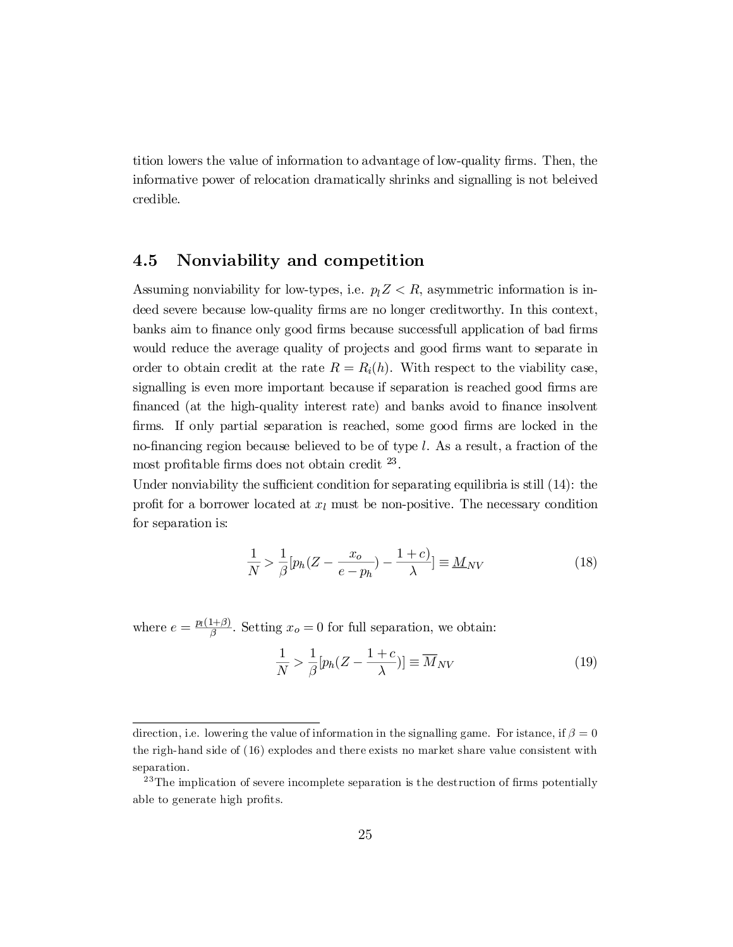tition lowers the value of information to advantage of low-quality firms. Then, the informative power of relocation dramatically shrinks and signalling is not beleived credible.

# 4.5 Nonviability and competition

Assuming nonviability for low-types, i.e.  $p_1 Z < R$ , asymmetric information is indeed severe because low-quality firms are no longer creditworthy. In this context, banks aim to finance only good firms because successfull application of bad firms would reduce the average quality of projects and good firms want to separate in order to obtain credit at the rate  $R = R<sub>i</sub>(h)$ . With respect to the viability case, signalling is even more important because if separation is reached good firms are financed (at the high-quality interest rate) and banks avoid to finance insolvent firms. If only partial separation is reached, some good firms are locked in the no-financing region because believed to be of type  $l$ . As a result, a fraction of the most profitable firms does not obtain credit  $^{23}$ .

Under nonviability the sufficient condition for separating equilibria is still  $(14)$ : the profit for a borrower located at  $x_l$  must be non-positive. The necessary condition for separation is:

$$
\frac{1}{N} > \frac{1}{\beta} \left[ p_h (Z - \frac{x_o}{e - p_h}) - \frac{1 + c}{\lambda} \right] \equiv M_{NV} \tag{18}
$$

where  $e = \frac{p_l(1+\beta)}{\beta}$  $\frac{1+\rho}{\beta}$ . Setting  $x_o = 0$  for full separation, we obtain:

$$
\frac{1}{N} > \frac{1}{\beta} [p_h (Z - \frac{1+c}{\lambda})] \equiv \overline{M}_{NV} \tag{19}
$$

direction, i.e. lowering the value of information in the signalling game. For istance, if  $\beta = 0$ the righ-hand side of (16) explodes and there exists no market share value consistent with separation.

 $23$ The implication of severe incomplete separation is the destruction of firms potentially able to generate high profits.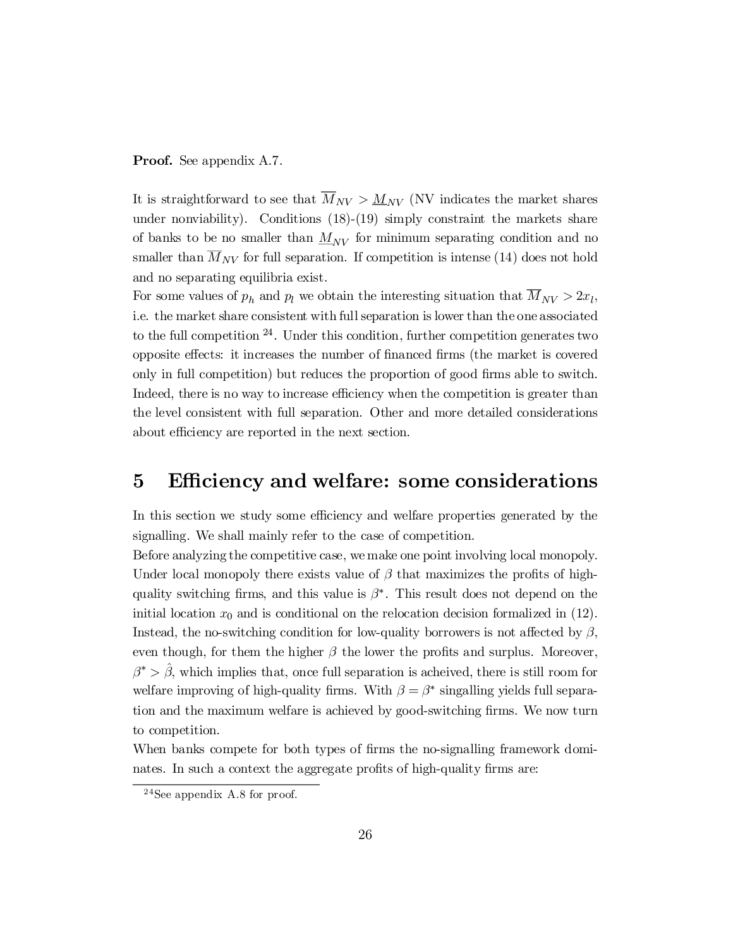### **Proof.** See appendix A.7.

It is straightforward to see that  $\overline{M}_{NV} > \underline{M}_{NV}$  (NV indicates the market shares under nonviability). Conditions (18)-(19) simply constraint the markets share of banks to be no smaller than  $M_{NV}$  for minimum separating condition and no smaller than  $\overline{M}_{NV}$  for full separation. If competition is intense (14) does not hold and no separating equilibria exist.

For some values of  $p_h$  and  $p_l$  we obtain the interesting situation that  $M_{NV} > 2x_l$ , i.e. the market share consistent with fullseparation is lower than the one associated to the full competition 24 . Under this condition, further competition generates two opposite effects: it increases the number of financed firms (the market is covered only in full competition) but reduces the proportion of good firms able to switch. Indeed, there is no way to increase efficiency when the competition is greater than the level consistent with full separation. Other and more detailed considerations about efficiency are reported in the next section.

# 5 Efficiency and welfare: some considerations

In this section we study some efficiency and welfare properties generated by the signalling. We shall mainly refer to the case of competition.

Before analyzing the competitive case, we make one point involving local monopoly. Under local monopoly there exists value of  $\beta$  that maximizes the profits of highquality switching firms, and this value is  $\beta^*$ . This result does not depend on the initial location  $x_0$  and is conditional on the relocation decision formalized in (12). Instead, the no-switching condition for low-quality borrowers is not affected by  $\beta$ , even though, for them the higher  $\beta$  the lower the profits and surplus. Moreover,  $\beta^* > \hat{\beta}$ , which implies that, once full separation is acheived, there is still room for welfare improving of high-quality firms. With  $\beta = \beta^*$  singalling yields full separation and the maximum welfare is achieved by good-switching firms. We now turn to competition.

When banks compete for both types of firms the no-signalling framework dominates. In such a context the aggregate profits of high-quality firms are:

<sup>24</sup>See appendix A.8 for proof.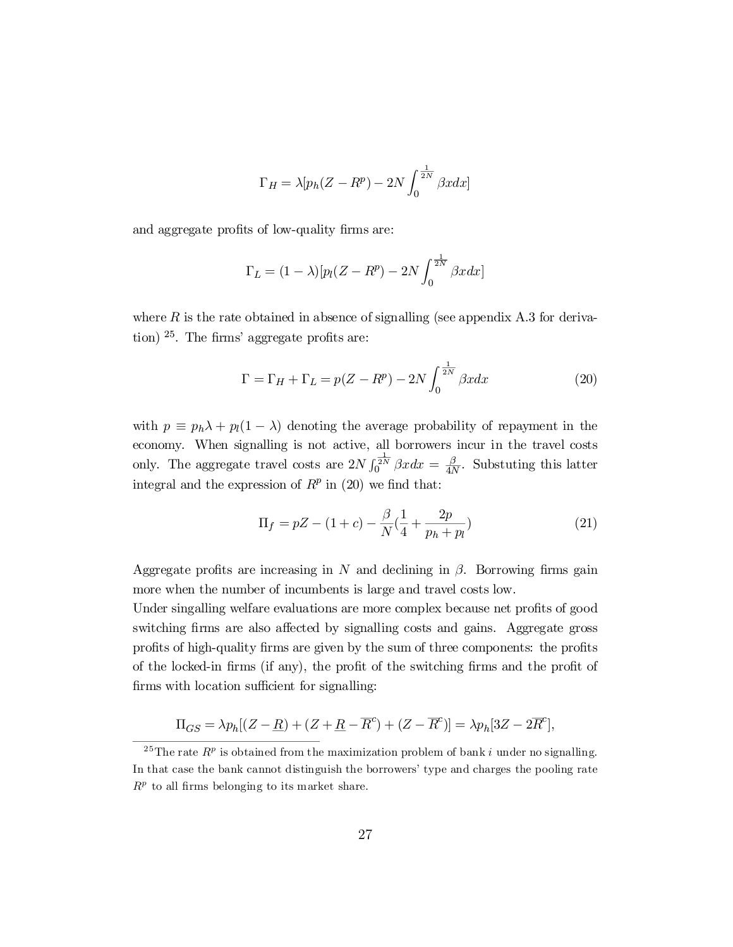$$
\Gamma_H = \lambda [p_h (Z - R^p) - 2N \int_0^{\frac{1}{2N}} \beta x dx]
$$

and aggregate profits of low-quality firms are:

$$
\Gamma_L = (1 - \lambda) [p_l(Z - R^p) - 2N \int_0^{\frac{1}{2N}} \beta x dx]
$$

where  $R$  is the rate obtained in absence of signalling (see appendix A.3 for deriva- $\frac{1}{25}$ . The firms' aggregate profits are:

$$
\Gamma = \Gamma_H + \Gamma_L = p(Z - R^p) - 2N \int_0^{\frac{1}{2N}} \beta x dx \tag{20}
$$

with  $p \equiv p_h \lambda + p_l(1 - \lambda)$  denoting the average probability of repayment in the economy. When signalling is not active, all borrowers incur in the travel costs only. The aggregate travel costs are  $2N \int_0^{\frac{1}{2N}} \beta x dx = \frac{\beta}{4N}$  $\frac{\beta}{4N}$ . Substuting this latter integral and the expression of  $R^p$  in (20) we find that:

$$
\Pi_f = pZ - (1+c) - \frac{\beta}{N}(\frac{1}{4} + \frac{2p}{p_h + p_l})
$$
\n(21)

Aggregate profits are increasing in N and declining in  $\beta$ . Borrowing firms gain more when the number of incumbents is large and travel costs low.

Under singalling welfare evaluations are more complex because net profits of good switching firms are also affected by signalling costs and gains. Aggregate gross profits of high-quality firms are given by the sum of three components: the profits of the locked-in firms (if any), the profit of the switching firms and the profit of firms with location sufficient for signalling:

$$
\Pi_{GS} = \lambda p_h [(Z - \underline{R}) + (Z + \underline{R} - \overline{R}^c) + (Z - \overline{R}^c)] = \lambda p_h [3Z - 2\overline{R}^c],
$$

<sup>&</sup>lt;sup>25</sup>The rate  $R^p$  is obtained from the maximization problem of bank i under no signalling. In that case the bank cannot distinguish the borrowers' type and charges the pooling rate  $R<sup>p</sup>$  to all firms belonging to its market share.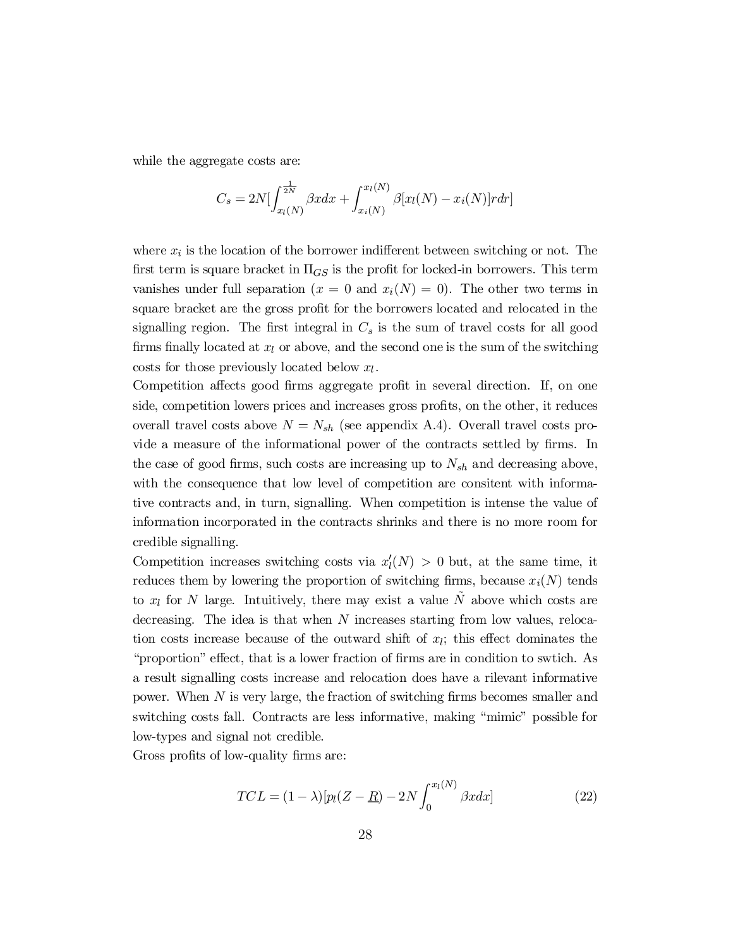while the aggregate costs are:

$$
C_s = 2N \left[ \int_{x_l(N)}^{\frac{1}{2N}} \beta x dx + \int_{x_i(N)}^{x_l(N)} \beta [x_l(N) - x_i(N)] r dr \right]
$$

where  $x_i$  is the location of the borrower indifferent between switching or not. The first term is square bracket in  $\Pi_{GS}$  is the profit for locked-in borrowers. This term vanishes under full separation  $(x = 0 \text{ and } x_i(N) = 0)$ . The other two terms in square bracket are the gross profit for the borrowers located and relocated in the signalling region. The first integral in  $C_s$  is the sum of travel costs for all good firms finally located at  $x_l$  or above, and the second one is the sum of the switching costs for those previously located below  $x_l$ .

Competition affects good firms aggregate profit in several direction. If, on one side, competition lowers prices and increases gross profits, on the other, it reduces overall travel costs above  $N = N_{sh}$  (see appendix A.4). Overall travel costs provide a measure of the informational power of the contracts settled by firms. In the case of good firms, such costs are increasing up to  $N_{sh}$  and decreasing above, with the consequence that low level of competition are consitent with informative contracts and, in turn, signalling. When competition is intense the value of information incorporated in the contracts shrinks and there is no more room for credible signalling.

Competition increases switching costs via  $x'_{l}(N) > 0$  but, at the same time, it reduces them by lowering the proportion of switching firms, because  $x_i(N)$  tends to  $x_l$  for N large. Intuitively, there may exist a value N above which costs are decreasing. The idea is that when N increases starting from low values, relocation costs increase because of the outward shift of  $x_i$ ; this effect dominates the "proportion" effect, that is a lower fraction of firms are in condition to swtich. As a result signalling costs increase and relocation does have a rilevant informative power. When  $N$  is very large, the fraction of switching firms becomes smaller and switching costs fall. Contracts are less informative, making "mimic" possible for low-types and signal not credible.

Gross profits of low-quality firms are:

$$
TCL = (1 - \lambda)[p_l(Z - R) - 2N \int_0^{x_l(N)} \beta x dx]
$$
\n(22)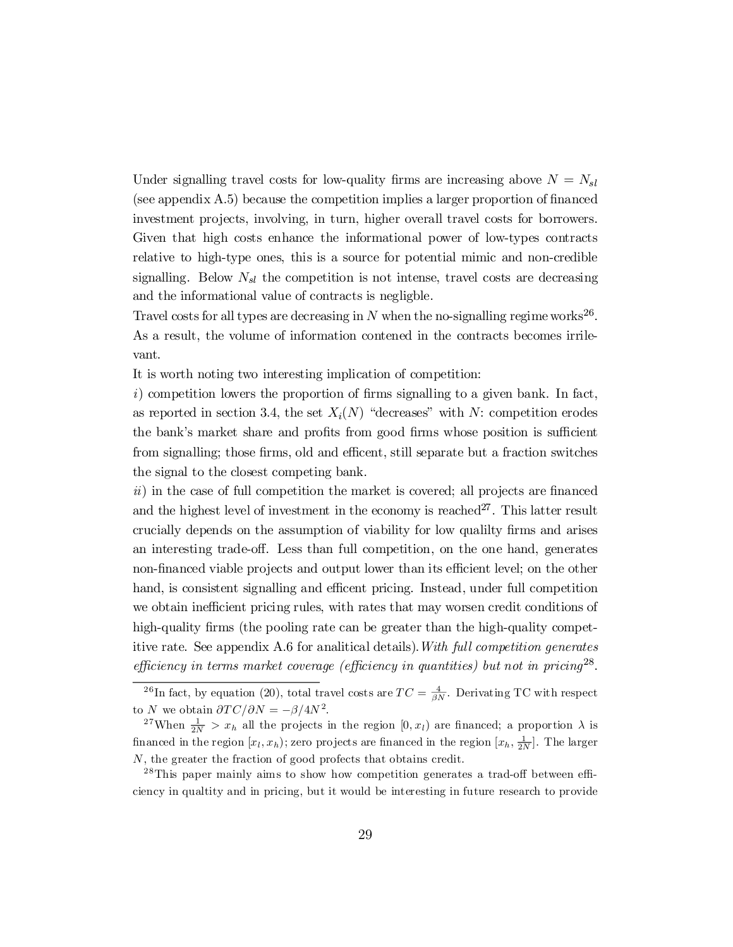Under signalling travel costs for low-quality firms are increasing above  $N = N_{sl}$  $(see appendix A.5) because the competition implies a larger proportion of financed$ investment projects, involving, in turn, higher overall travel costs for borrowers. Given that high costs enhance the informational power of low-types contracts relative to high-type ones, this is a source for potential mimic and non-credible signalling. Below  $N_{sl}$  the competition is not intense, travel costs are decreasing and the informational value of contracts is negligble.

Travel costs for all types are decreasing in N when the no-signalling regime works<sup>26</sup>. As a result, the volume of information contened in the contracts becomes irrilevant.

It is worth noting two interesting implication of competition:

 $i)$  competition lowers the proportion of firms signalling to a given bank. In fact, as reported in section 3.4, the set  $X_i(N)$  "decreases" with N: competition erodes the bank's market share and profits from good firms whose position is sufficient from signalling; those firms, old and efficent, still separate but a fraction switches the signal to the closest competing bank.

 $ii)$  in the case of full competition the market is covered; all projects are financed and the highest level of investment in the economy is reached<sup>27</sup>. This latter result crucially depends on the assumption of viability for low quality firms and arises an interesting trade-off. Less than full competition, on the one hand, generates non-financed viable projects and output lower than its efficient level; on the other hand, is consistent signalling and efficent pricing. Instead, under full competition we obtain inefficient pricing rules, with rates that may worsen credit conditions of high-quality firms (the pooling rate can be greater than the high-quality competitive rate. See appendix A.6 for analitical details).With full competition generates efficiency in terms market coverage (efficiency in quantities) but not in pricing<sup>28</sup>.

<sup>&</sup>lt;sup>26</sup>In fact, by equation (20), total travel costs are  $TC = \frac{4}{\beta N}$ . Derivating TC with respect to N we obtain  $\partial TC/\partial N = -\beta/4N^2$ .

<sup>&</sup>lt;sup>27</sup>When  $\frac{1}{2N} > x_h$  all the projects in the region  $[0, x_l)$  are financed; a proportion  $\lambda$  is financed in the region  $[x_l, x_h)$ ; zero projects are financed in the region  $[x_h, \frac{1}{2N}]$ . The larger N, the greater the fraction of good profects that obtains credit.

 $^{28}$ This paper mainly aims to show how competition generates a trad-off between efficiency in qualtity and in pricing, but it would be interesting in future research to provide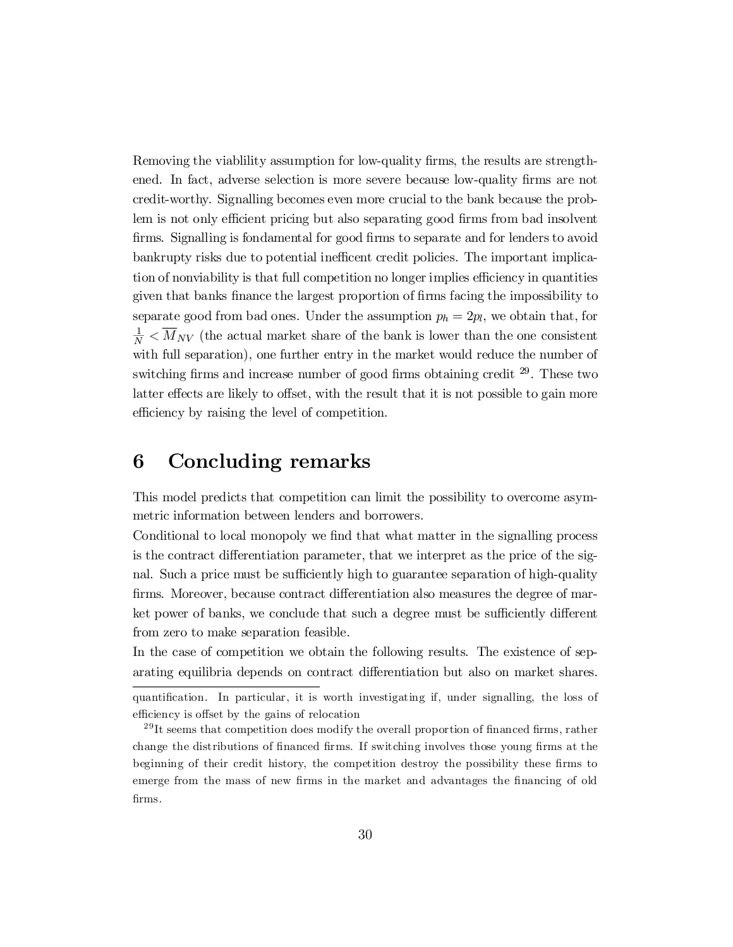Removing the viablility assumption for low-quality firms, the results are strengthened. In fact, adverse selection is more severe because low-quality firms are not credit-worthy. Signalling becomes even more crucial to the bank because the problem is not only efficient pricing but also separating good firms from bad insolvent firms. Signalling is fondamental for good firms to separate and for lenders to avoid bankrupty risks due to potential inefficent credit policies. The important implication of nonviability is that full competition no longer implies efficiency in quantities given that banks finance the largest proportion of firms facing the impossibility to separate good from bad ones. Under the assumption  $p_h = 2p_l$ , we obtain that, for  $\frac{1}{N}$   $\lt \overline{M}_{NV}$  (the actual market share of the bank is lower than the one consistent with full separation), one further entry in the market would reduce the number of switching firms and increase number of good firms obtaining credit  $^{29}$ . These two latter effects are likely to offset, with the result that it is not possible to gain more efficiency by raising the level of competition.

# 6 Concluding remarks

This model predicts that competition can limit the possibility to overcome asymmetric information between lenders and borrowers.

Conditional to local monopoly we find that what matter in the signalling process is the contract differentiation parameter, that we interpret as the price of the signal. Such a price must be sufficiently high to guarantee separation of high-quality firms. Moreover, because contract differentiation also measures the degree of market power of banks, we conclude that such a degree must be sufficiently different from zero to make separation feasible.

In the case of competition we obtain the following results. The existence of separating equilibria depends on contract differentiation but also on market shares.

quantification. In particular, it is worth investigating if, under signalling, the loss of efficiency is offset by the gains of relocation

 $^{29}$ It seems that competition does modify the overall proportion of financed firms, rather change the distributions of financed firms. If switching involves those young firms at the beginning of their credit history, the competition destroy the possibility these firms to emerge from the mass of new firms in the market and advantages the financing of old firms.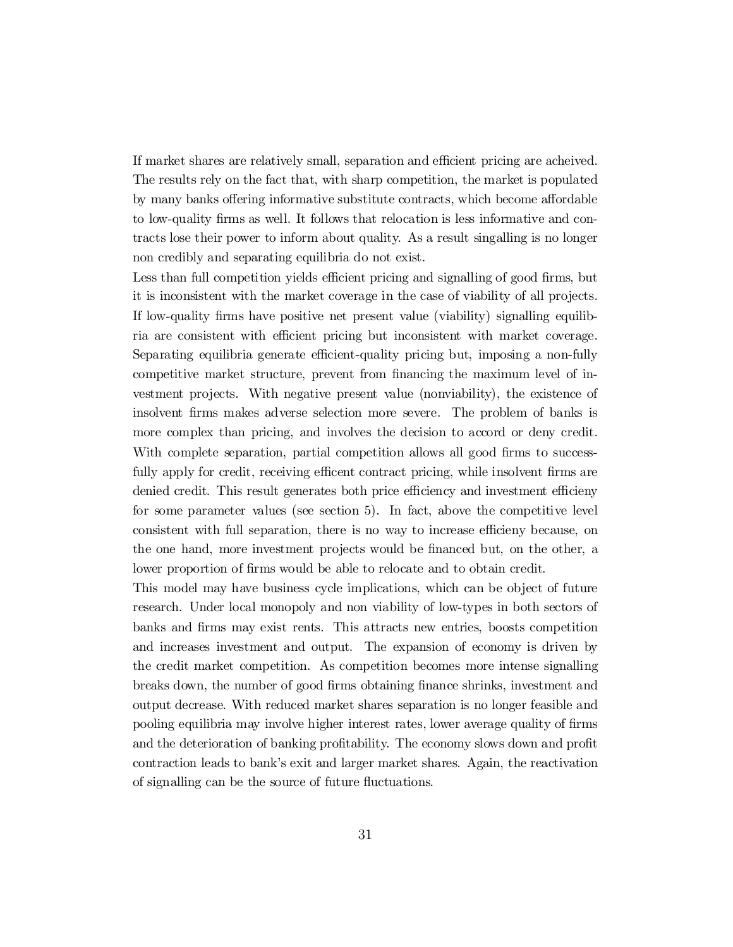If market shares are relatively small, separation and efficient pricing are acheived. The results rely on the fact that, with sharp competition, the market is populated by many banks offering informative substitute contracts, which become affordable to low-quality firms as well. It follows that relocation is less informative and contracts lose their power to inform about quality. As a result singalling is no longer non credibly and separating equilibria do not exist.

Less than full competition yields efficient pricing and signalling of good firms, but it is inconsistent with the market coverage in the case of viability of all projects. If low-quality firms have positive net present value (viability) signalling equilibria are consistent with efficient pricing but inconsistent with market coverage. Separating equilibria generate efficient-quality pricing but, imposing a non-fully competitive market structure, prevent from financing the maximum level of investment projects. With negative present value (nonviability), the existence of insolvent firms makes adverse selection more severe. The problem of banks is more complex than pricing, and involves the decision to accord or deny credit. With complete separation, partial competition allows all good firms to successfully apply for credit, receiving efficent contract pricing, while insolvent firms are denied credit. This result generates both price efficiency and investment efficieny for some parameter values (see section 5). In fact, above the competitive level consistent with full separation, there is no way to increase efficieny because, on the one hand, more investment projects would be financed but, on the other, a lower proportion of firms would be able to relocate and to obtain credit.

This model may have business cycle implications, which can be object of future research. Under local monopoly and non viability of low-types in both sectors of banks and firms may exist rents. This attracts new entries, boosts competition and increases investment and output. The expansion of economy is driven by the credit market competition. As competition becomes more intense signalling breaks down, the number of good firms obtaining finance shrinks, investment and output decrease. With reduced market shares separation is no longer feasible and pooling equilibria may involve higher interest rates, lower average quality of firms and the deterioration of banking profitability. The economy slows down and profit contraction leads to bank's exit and larger market shares. Again, the reactivation of signalling can be the source of future fluctuations.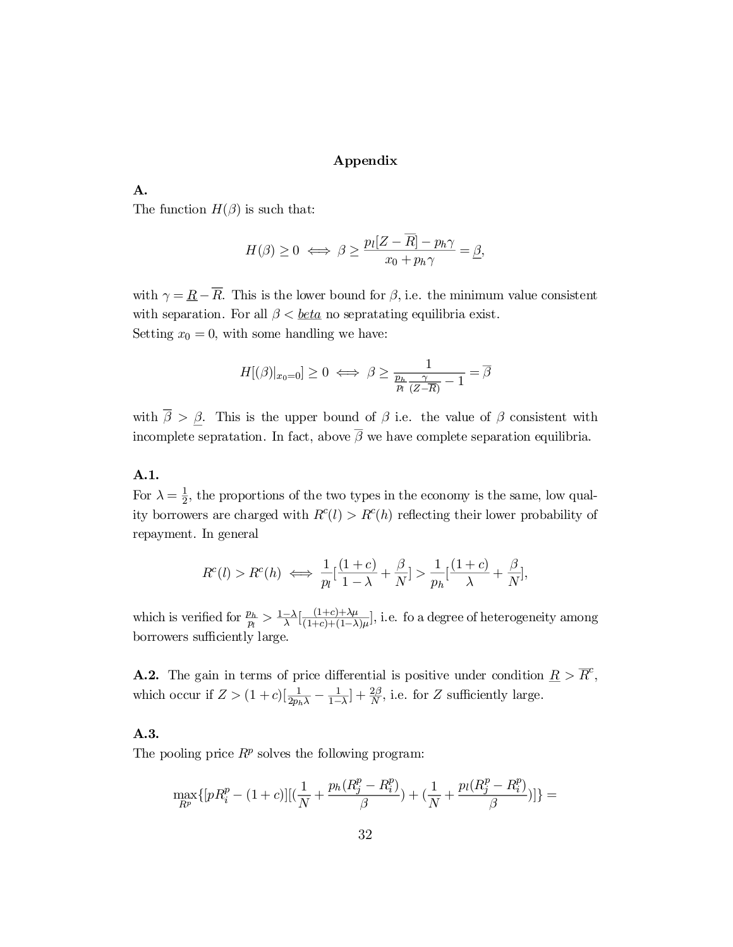# Appendix

# A.

The function  $H(\beta)$  is such that:

$$
H(\beta) \ge 0 \iff \beta \ge \frac{p_l[Z - \overline{R}] - p_h \gamma}{x_0 + p_h \gamma} = \underline{\beta},
$$

with  $\gamma = \underline{R} - \overline{R}$ . This is the lower bound for  $\beta$ , i.e. the minimum value consistent with separation. For all  $\beta < \underline{beta}$  no sepratating equilibria exist. Setting  $x_0 = 0$ , with some handling we have:

$$
H[(\beta)|_{x_0=0}] \ge 0 \iff \beta \ge \frac{1}{\frac{p_h}{p_l} \frac{\gamma}{(Z-\overline{R})} - 1} = \overline{\beta}
$$

with  $\overline{\beta} > \underline{\beta}$ . This is the upper bound of  $\beta$  i.e. the value of  $\beta$  consistent with incomplete sepratation. In fact, above  $\overline{\beta}$  we have complete separation equilibria.

# A.1.

For  $\lambda = \frac{1}{2}$  $\frac{1}{2}$ , the proportions of the two types in the economy is the same, low quality borrowers are charged with  $R^{c}(l) > R^{c}(h)$  reflecting their lower probability of repayment. In general

$$
R^{c}(l) > R^{c}(h) \iff \frac{1}{p_{l}}[\frac{(1+c)}{1-\lambda} + \frac{\beta}{N}] > \frac{1}{p_{h}}[\frac{(1+c)}{\lambda} + \frac{\beta}{N}],
$$

which is verified for  $\frac{p_h}{p_h}$  $\frac{p_h}{p_l} > \frac{1-\lambda}{\lambda}[\frac{(1+c)+\lambda\mu}{(1+c)+(1-\lambda)}$  $\frac{(1+c)+\alpha\mu}{(1+c)+(1-\lambda)\mu}$ , i.e. fo a degree of heterogeneity among borrowers sufficiently large.

**A.2.** The gain in terms of price differential is positive under condition  $\underline{R} > \overline{R}^c$ , which occur if  $Z > (1+c) \left[\frac{1}{2p_h\lambda} - \frac{1}{1-c}\right]$  $\frac{1}{1-\lambda}$  +  $\frac{2\beta}{N}$  $\frac{2D}{N}$ , i.e. for Z sufficiently large.

## A.3.

The pooling price  $R^p$  solves the following program:

$$
\max_{R^p} \{ [pR_i^p - (1+c)] [(\frac{1}{N} + \frac{p_h(R_j^p - R_i^p)}{\beta}) + (\frac{1}{N} + \frac{p_l(R_j^p - R_i^p)}{\beta})]\} =
$$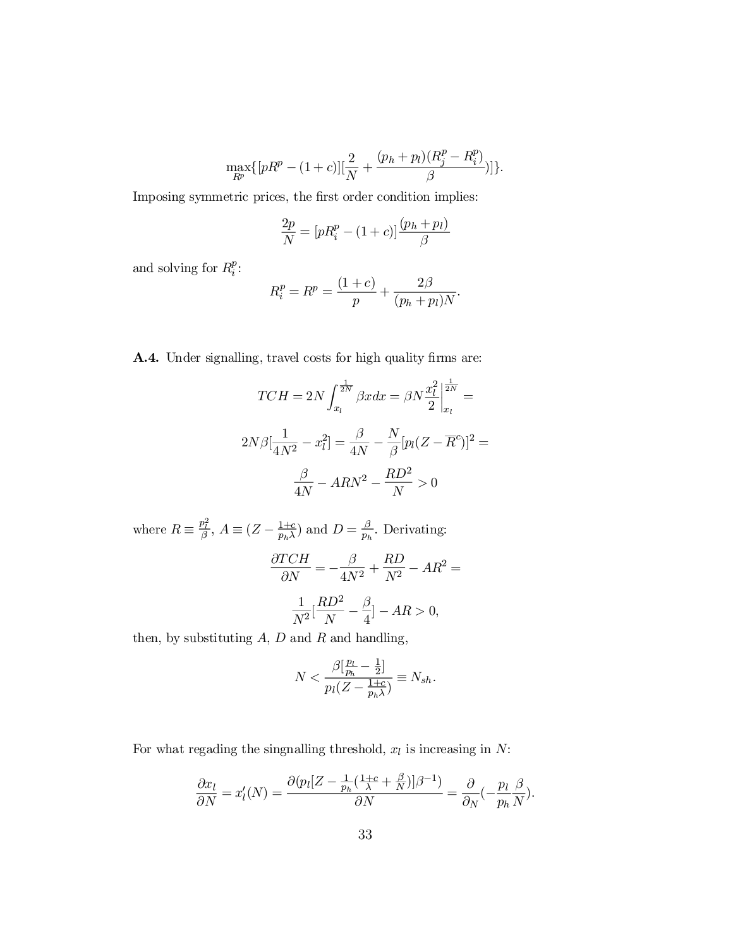$$
\max_{R^p}\{[pR^p-(1+c)][\frac{2}{N}+\frac{(p_h+p_l)(R^p_j-R^p_i)}{\beta}]\}.
$$

Imposing symmetric prices, the first order condition implies:

$$
\frac{2p}{N} = [pR_i^p - (1+c)] \frac{(p_h + p_l)}{\beta}
$$

and solving for  $R_i^p$  $\frac{p}{i}$ :

$$
R_i^p = R^p = \frac{(1+c)}{p} + \frac{2\beta}{(p_h + p_l)N}.
$$

A.4. Under signalling, travel costs for high quality firms are:

$$
TCH = 2N \int_{x_l}^{\frac{1}{2N}} \beta x dx = \beta N \frac{x_l^2}{2} \Big|_{x_l}^{\frac{1}{2N}} =
$$
  

$$
2N\beta \Big[ \frac{1}{4N^2} - x_l^2 \Big] = \frac{\beta}{4N} - \frac{N}{\beta} [p_l (Z - \overline{R}^c)]^2 =
$$
  

$$
\frac{\beta}{4N} - ARN^2 - \frac{RD^2}{N} > 0
$$

where  $R \equiv \frac{p_l^2}{\beta}$ ,  $A \equiv (Z - \frac{1+c}{p_h \lambda})$  $\frac{1+c}{p_h\lambda}$  and  $D=\frac{\beta}{p_h}$  $\frac{\rho}{p_h}$ . Derivating:

$$
\frac{\partial TCH}{\partial N} = -\frac{\beta}{4N^2} + \frac{RD}{N^2} - AR^2 =
$$

$$
\frac{1}{N^2} \left[ \frac{RD^2}{N} - \frac{\beta}{4} \right] - AR > 0,
$$

then, by substituting  $A$ ,  $D$  and  $R$  and handling,

$$
N < \frac{\beta \left[\frac{p_L}{p_h} - \frac{1}{2}\right]}{p_l(Z - \frac{1+c}{p_h \lambda})} \equiv N_{sh}.
$$

For what regading the singnalling threshold,  $x_l$  is increasing in  $N$ :

$$
\frac{\partial x_l}{\partial N} = x'_l(N) = \frac{\partial (p_l[Z - \frac{1}{p_h}(\frac{1+c}{\lambda} + \frac{\beta}{N})]\beta^{-1})}{\partial N} = \frac{\partial}{\partial N}(-\frac{p_l}{p_h}\frac{\beta}{N}).
$$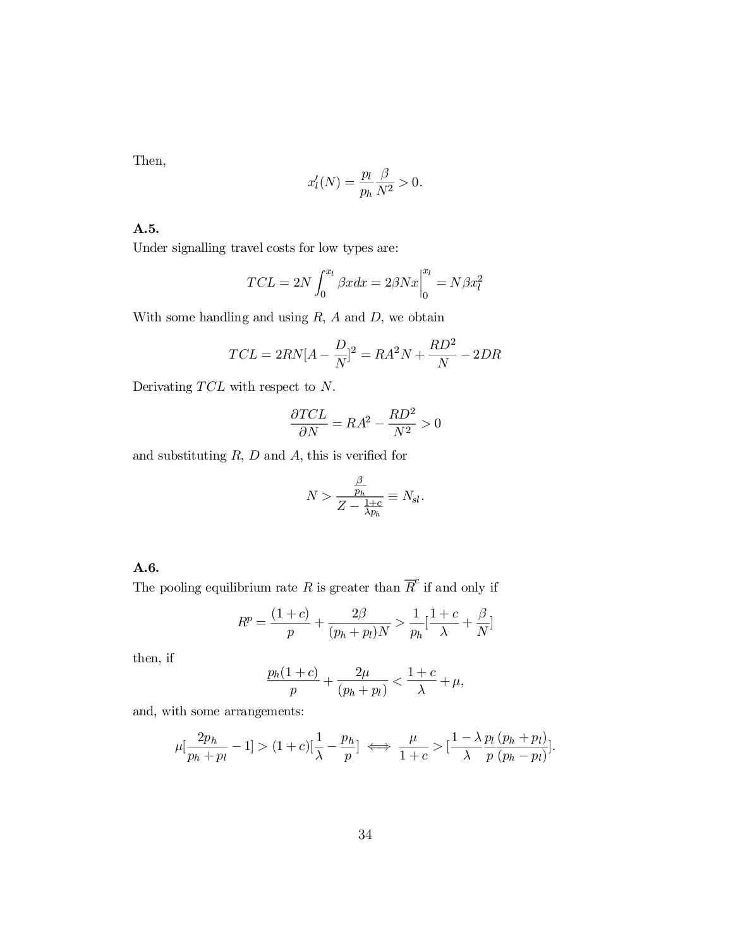Then,

$$
x'_l(N) = \frac{p_l}{p_h} \frac{\beta}{N^2} > 0.
$$

A.5.

Under signalling travel costs for low types are:

$$
TCL = 2N \int_0^{x_l} \beta x dx = 2\beta N x \Big|_0^{x_l} = N\beta x_l^2
$$

With some handling and using  $R$ ,  $A$  and  $D$ , we obtain

$$
TCL = 2RN[A - \frac{D}{N}]^{2} = RA^{2}N + \frac{RD^{2}}{N} - 2DR
$$

Derivating  $TCL$  with respect to  $N$ .

$$
\frac{\partial TCL}{\partial N} = RA^2 - \frac{RD^2}{N^2} > 0
$$

and substituting  $R$ ,  $D$  and  $A$ , this is verified for

$$
N > \frac{\frac{\beta}{p_h}}{Z - \frac{1+c}{\lambda p_h}} \equiv N_{sl}.
$$

# A.6.

The pooling equilibrium rate R is greater than  $\overline{R}^c$  if and only if

$$
R^{p} = \frac{(1+c)}{p} + \frac{2\beta}{(p_h + p_l)N} > \frac{1}{p_h}[\frac{1+c}{\lambda} + \frac{\beta}{N}]
$$

then, if

$$
\frac{p_h(1+c)}{p} + \frac{2\mu}{(p_h+p_l)} < \frac{1+c}{\lambda} + \mu,
$$

and, with some arrangements:

$$
\mu[\frac{2p_h}{p_h+p_l}-1] > (1+c)[\frac{1}{\lambda}-\frac{p_h}{p}] \iff \frac{\mu}{1+c} > [\frac{1-\lambda}{\lambda}\frac{p_l(p_h+p_l)}{p(p_h-p_l)}].
$$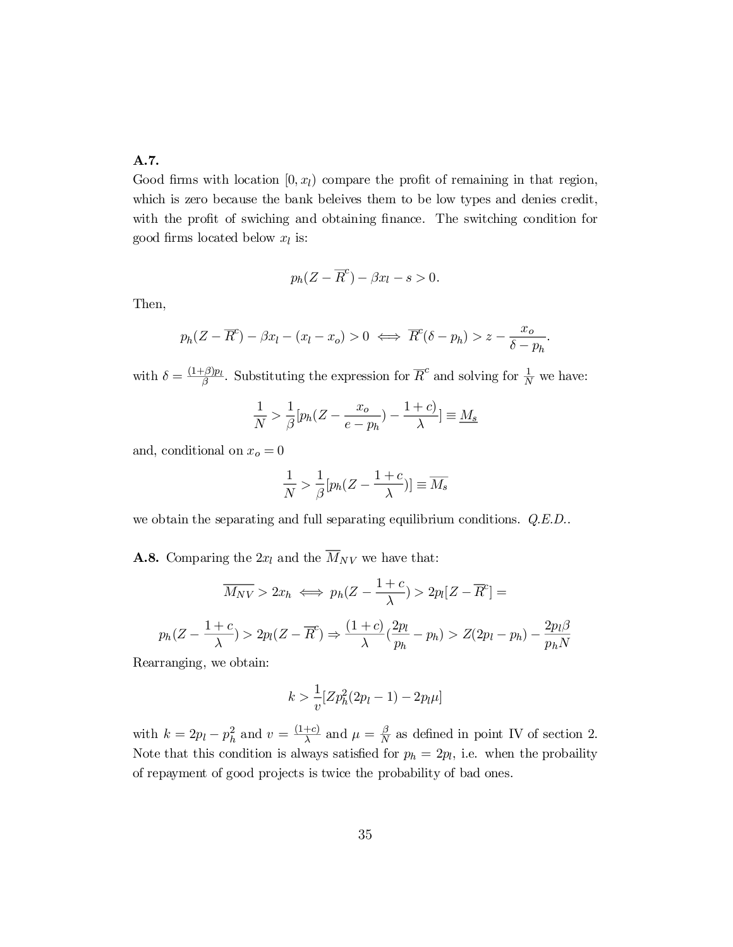# A.7.

Good firms with location  $[0, x_l)$  compare the profit of remaining in that region, which is zero because the bank beleives them to be low types and denies credit, with the profit of swiching and obtaining finance. The switching condition for good firms located below  $x_l$  is:

$$
p_h(Z - \overline{R}^c) - \beta x_l - s > 0.
$$

Then,

$$
p_h(Z - \overline{R}^c) - \beta x_l - (x_l - x_o) > 0 \iff \overline{R}^c(\delta - p_h) > z - \frac{x_o}{\delta - p_h}.
$$

with  $\delta = \frac{(1+\beta)p_l}{\beta}$  $\frac{\tau}{\beta}$ . Substituting the expression for  $\overline{R}^c$  and solving for  $\frac{1}{N}$  we have:

$$
\frac{1}{N} > \frac{1}{\beta} [p_h (Z - \frac{x_o}{e - p_h}) - \frac{1 + c)}{\lambda}] \equiv \underline{M_s}
$$

and, conditional on  $x_o = 0$ 

$$
\frac{1}{N} > \frac{1}{\beta} [p_h (Z - \frac{1+c}{\lambda})] \equiv \overline{M_s}
$$

we obtain the separating and full separating equilibrium conditions. Q.E.D..

**A.8.** Comparing the  $2x_l$  and the  $\overline{M}_{NV}$  we have that:

$$
\overline{M_{NV}} > 2x_h \iff p_h(Z - \frac{1+c}{\lambda}) > 2p_l[Z - \overline{R}^c] =
$$
  

$$
p_h(Z - \frac{1+c}{\lambda}) > 2p_l(Z - \overline{R}^c) \Rightarrow \frac{(1+c)}{\lambda}(\frac{2p_l}{p_h} - p_h) > Z(2p_l - p_h) - \frac{2p_l\beta}{p_hN}
$$

Rearranging, we obtain:

$$
k > \frac{1}{v} [Z p_h^2 (2p_l - 1) - 2p_l \mu]
$$

with  $k = 2p_l - p_h^2$  and  $v = \frac{(1+c)}{\lambda}$  $\frac{+c)}{\lambda}$  and  $\mu = \frac{\beta}{N}$  $\frac{\beta}{N}$  as defined in point IV of section 2. Note that this condition is always satisfied for  $p_h = 2p_l$ , i.e. when the probaility of repayment of good projects is twice the probability of bad ones.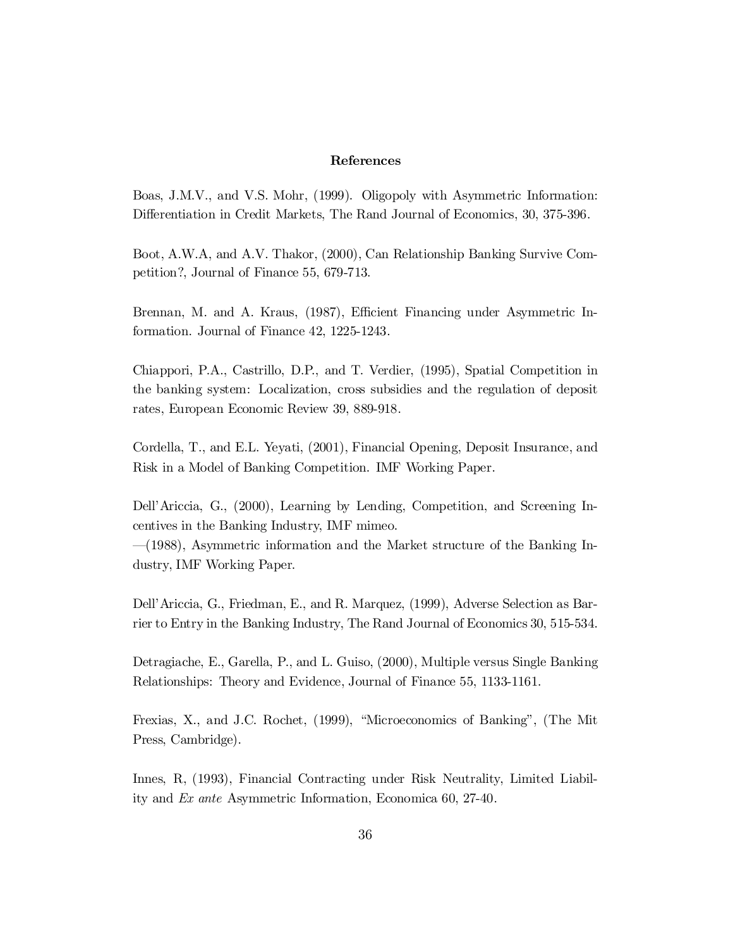## References

Boas, J.M.V., and V.S. Mohr, (1999). Oligopoly with Asymmetric Information: Differentiation in Credit Markets, The Rand Journal of Economics, 30, 375-396.

Boot, A.W.A, and A.V. Thakor, (2000), Can Relationship Banking Survive Competition?, Journal of Finance 55, 679-713.

Brennan, M. and A. Kraus, (1987), Efficient Financing under Asymmetric Information. Journal of Finance 42, 1225-1243.

Chiappori, P.A., Castrillo, D.P., and T. Verdier, (1995), Spatial Competition in the banking system: Localization, cross subsidies and the regulation of deposit rates, European Economic Review 39, 889-918.

Cordella, T., and E.L. Yeyati, (2001), Financial Opening, Deposit Insurance, and Risk in a Model of Banking Competition. IMF Working Paper.

Dell'Ariccia, G., (2000), Learning by Lending, Competition, and Screening Incentives in the Banking Industry, IMF mimeo.

 $-(1988)$ , Asymmetric information and the Market structure of the Banking Industry, IMF Working Paper.

Dell'Ariccia, G., Friedman, E., and R. Marquez, (1999), Adverse Selection as Barrier to Entry in the Banking Industry, The Rand Journal of Economics 30, 515-534.

Detragiache, E., Garella, P., and L. Guiso, (2000), Multiple versus Single Banking Relationships: Theory and Evidence, Journal of Finance 55, 1133-1161.

Frexias, X., and J.C. Rochet, (1999), \Microeconomics of Banking", (The Mit Press, Cambridge).

Innes, R, (1993), Financial Contracting under Risk Neutrality, Limited Liability and Ex ante Asymmetric Information, Economica 60, 27-40.